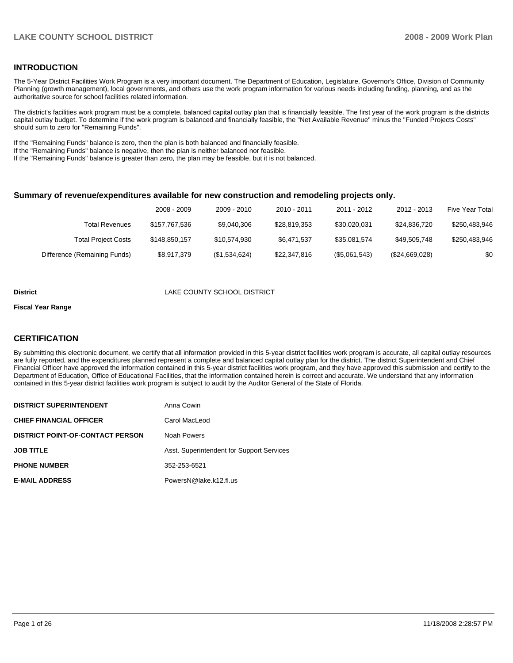### **INTRODUCTION**

The 5-Year District Facilities Work Program is a very important document. The Department of Education, Legislature, Governor's Office, Division of Community Planning (growth management), local governments, and others use the work program information for various needs including funding, planning, and as the authoritative source for school facilities related information.

The district's facilities work program must be a complete, balanced capital outlay plan that is financially feasible. The first year of the work program is the districts capital outlay budget. To determine if the work program is balanced and financially feasible, the "Net Available Revenue" minus the "Funded Projects Costs" should sum to zero for "Remaining Funds".

If the "Remaining Funds" balance is zero, then the plan is both balanced and financially feasible.

If the "Remaining Funds" balance is negative, then the plan is neither balanced nor feasible.

If the "Remaining Funds" balance is greater than zero, the plan may be feasible, but it is not balanced.

#### **Summary of revenue/expenditures available for new construction and remodeling projects only.**

| Five Year Total | 2012 - 2013    | 2011 - 2012   | 2010 - 2011  | $2009 - 2010$ | 2008 - 2009   |                              |
|-----------------|----------------|---------------|--------------|---------------|---------------|------------------------------|
| \$250,483,946   | \$24.836.720   | \$30.020.031  | \$28.819.353 | \$9.040.306   | \$157.767.536 | <b>Total Revenues</b>        |
| \$250,483,946   | \$49,505,748   | \$35.081.574  | \$6.471.537  | \$10.574.930  | \$148,850,157 | <b>Total Project Costs</b>   |
| \$0             | (\$24,669,028) | (\$5,061,543) | \$22,347,816 | (\$1,534,624) | \$8,917,379   | Difference (Remaining Funds) |

#### **District** LAKE COUNTY SCHOOL DISTRICT

#### **Fiscal Year Range**

#### **CERTIFICATION**

By submitting this electronic document, we certify that all information provided in this 5-year district facilities work program is accurate, all capital outlay resources are fully reported, and the expenditures planned represent a complete and balanced capital outlay plan for the district. The district Superintendent and Chief Financial Officer have approved the information contained in this 5-year district facilities work program, and they have approved this submission and certify to the Department of Education, Office of Educational Facilities, that the information contained herein is correct and accurate. We understand that any information contained in this 5-year district facilities work program is subject to audit by the Auditor General of the State of Florida.

| <b>DISTRICT SUPERINTENDENT</b>          | Anna Cowin                                |
|-----------------------------------------|-------------------------------------------|
| <b>CHIEF FINANCIAL OFFICER</b>          | Carol MacLeod                             |
| <b>DISTRICT POINT-OF-CONTACT PERSON</b> | Noah Powers                               |
| <b>JOB TITLE</b>                        | Asst. Superintendent for Support Services |
| <b>PHONE NUMBER</b>                     | 352-253-6521                              |
| <b>E-MAIL ADDRESS</b>                   | PowersN@lake.k12.fl.us                    |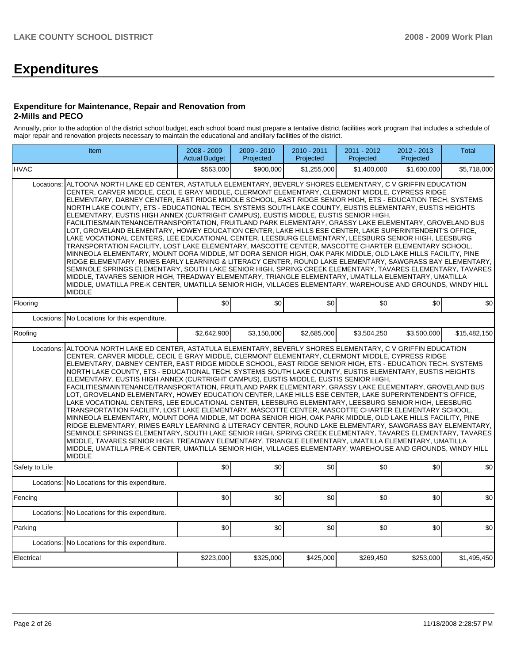# **Expenditures**

#### **Expenditure for Maintenance, Repair and Renovation from 2-Mills and PECO**

Annually, prior to the adoption of the district school budget, each school board must prepare a tentative district facilities work program that includes a schedule of major repair and renovation projects necessary to maintain the educational and ancillary facilities of the district.

| Item                                                                                                                                                                                                                                                                                                                                                                                                                                                                                                                                                                                                                                                                                                                                                                                                                                                                                                                                                                                                                                                                                                                                                                                                                                                                                                                                                                                                                                                                                                                                                        | 2008 - 2009<br><b>Actual Budget</b> | 2009 - 2010<br>Projected | $2010 - 2011$<br>Projected | 2011 - 2012<br>Projected | 2012 - 2013<br>Projected | Total        |  |  |  |  |  |
|-------------------------------------------------------------------------------------------------------------------------------------------------------------------------------------------------------------------------------------------------------------------------------------------------------------------------------------------------------------------------------------------------------------------------------------------------------------------------------------------------------------------------------------------------------------------------------------------------------------------------------------------------------------------------------------------------------------------------------------------------------------------------------------------------------------------------------------------------------------------------------------------------------------------------------------------------------------------------------------------------------------------------------------------------------------------------------------------------------------------------------------------------------------------------------------------------------------------------------------------------------------------------------------------------------------------------------------------------------------------------------------------------------------------------------------------------------------------------------------------------------------------------------------------------------------|-------------------------------------|--------------------------|----------------------------|--------------------------|--------------------------|--------------|--|--|--|--|--|
| <b>IHVAC</b>                                                                                                                                                                                                                                                                                                                                                                                                                                                                                                                                                                                                                                                                                                                                                                                                                                                                                                                                                                                                                                                                                                                                                                                                                                                                                                                                                                                                                                                                                                                                                | \$563.000                           | \$900.000                | \$1,255,000                | \$1,400,000              | \$1,600,000              | \$5,718,000  |  |  |  |  |  |
| ALTOONA NORTH LAKE ED CENTER, ASTATULA ELEMENTARY, BEVERLY SHORES ELEMENTARY, C V GRIFFIN EDUCATION<br>Locations:<br>CENTER, CARVER MIDDLE, CECIL E GRAY MIDDLE, CLERMONT ELEMENTARY, CLERMONT MIDDLE, CYPRESS RIDGE<br>ELEMENTARY, DABNEY CENTER, EAST RIDGE MIDDLE SCHOOL, EAST RIDGE SENIOR HIGH, ETS - EDUCATION TECH. SYSTEMS<br>NORTH LAKE COUNTY, ETS - EDUCATIONAL TECH. SYSTEMS SOUTH LAKE COUNTY, EUSTIS ELEMENTARY, EUSTIS HEIGHTS<br>ELEMENTARY, EUSTIS HIGH ANNEX (CURTRIGHT CAMPUS), EUSTIS MIDDLE, EUSTIS SENIOR HIGH,<br>FACILITIES/MAINTENANCE/TRANSPORTATION, FRUITLAND PARK ELEMENTARY, GRASSY LAKE ELEMENTARY, GROVELAND BUS<br>LOT, GROVELAND ELEMENTARY, HOWEY EDUCATION CENTER, LAKE HILLS ESE CENTER, LAKE SUPERINTENDENT'S OFFICE,<br>LAKE VOCATIONAL CENTERS, LEE EDUCATIONAL CENTER, LEESBURG ELEMENTARY, LEESBURG SENIOR HIGH, LEESBURG<br>TRANSPORTATION FACILITY, LOST LAKE ELEMENTARY, MASCOTTE CENTER, MASCOTTE CHARTER ELEMENTARY SCHOOL,<br>MINNEOLA ELEMENTARY, MOUNT DORA MIDDLE, MT DORA SENIOR HIGH, OAK PARK MIDDLE, OLD LAKE HILLS FACILITY, PINE<br>RIDGE ELEMENTARY, RIMES EARLY LEARNING & LITERACY CENTER, ROUND LAKE ELEMENTARY, SAWGRASS BAY ELEMENTARY,<br>SEMINOLE SPRINGS ELEMENTARY, SOUTH LAKE SENIOR HIGH, SPRING CREEK ELEMENTARY, TAVARES ELEMENTARY, TAVARES<br>MIDDLE, TAVARES SENIOR HIGH, TREADWAY ELEMENTARY, TRIANGLE ELEMENTARY, UMATILLA ELEMENTARY, UMATILLA<br>MIDDLE, UMATILLA PRE-K CENTER, UMATILLA SENIOR HIGH, VILLAGES ELEMENTARY, WAREHOUSE AND GROUNDS, WINDY HILL<br><b>MIDDLE</b> |                                     |                          |                            |                          |                          |              |  |  |  |  |  |
| Flooring                                                                                                                                                                                                                                                                                                                                                                                                                                                                                                                                                                                                                                                                                                                                                                                                                                                                                                                                                                                                                                                                                                                                                                                                                                                                                                                                                                                                                                                                                                                                                    | \$0                                 | \$0                      | \$0                        | \$0                      | \$0                      | \$0          |  |  |  |  |  |
| Locations:<br>No Locations for this expenditure.                                                                                                                                                                                                                                                                                                                                                                                                                                                                                                                                                                                                                                                                                                                                                                                                                                                                                                                                                                                                                                                                                                                                                                                                                                                                                                                                                                                                                                                                                                            |                                     |                          |                            |                          |                          |              |  |  |  |  |  |
| Roofing                                                                                                                                                                                                                                                                                                                                                                                                                                                                                                                                                                                                                                                                                                                                                                                                                                                                                                                                                                                                                                                                                                                                                                                                                                                                                                                                                                                                                                                                                                                                                     | \$2,642,900                         | \$3,150,000              | \$2,685,000                | \$3,504,250              | \$3.500.000              | \$15,482,150 |  |  |  |  |  |
| Locations:<br>ALTOONA NORTH LAKE ED CENTER, ASTATULA ELEMENTARY, BEVERLY SHORES ELEMENTARY, C V GRIFFIN EDUCATION<br>CENTER, CARVER MIDDLE, CECIL E GRAY MIDDLE, CLERMONT ELEMENTARY, CLERMONT MIDDLE, CYPRESS RIDGE<br>ELEMENTARY, DABNEY CENTER, EAST RIDGE MIDDLE SCHOOL, EAST RIDGE SENIOR HIGH, ETS - EDUCATION TECH. SYSTEMS<br>NORTH LAKE COUNTY, ETS - EDUCATIONAL TECH. SYSTEMS SOUTH LAKE COUNTY, EUSTIS ELEMENTARY, EUSTIS HEIGHTS<br>ELEMENTARY, EUSTIS HIGH ANNEX (CURTRIGHT CAMPUS), EUSTIS MIDDLE, EUSTIS SENIOR HIGH,<br>FACILITIES/MAINTENANCE/TRANSPORTATION, FRUITLAND PARK ELEMENTARY, GRASSY LAKE ELEMENTARY, GROVELAND BUS<br>LOT, GROVELAND ELEMENTARY, HOWEY EDUCATION CENTER, LAKE HILLS ESE CENTER, LAKE SUPERINTENDENT'S OFFICE,<br>LAKE VOCATIONAL CENTERS, LEE EDUCATIONAL CENTER, LEESBURG ELEMENTARY, LEESBURG SENIOR HIGH, LEESBURG<br>TRANSPORTATION FACILITY, LOST LAKE ELEMENTARY, MASCOTTE CENTER, MASCOTTE CHARTER ELEMENTARY SCHOOL,<br>MINNEOLA ELEMENTARY, MOUNT DORA MIDDLE, MT DORA SENIOR HIGH, OAK PARK MIDDLE, OLD LAKE HILLS FACILITY, PINE<br>RIDGE ELEMENTARY, RIMES EARLY LEARNING & LITERACY CENTER, ROUND LAKE ELEMENTARY, SAWGRASS BAY ELEMENTARY,<br>SEMINOLE SPRINGS ELEMENTARY, SOUTH LAKE SENIOR HIGH, SPRING CREEK ELEMENTARY, TAVARES ELEMENTARY, TAVARES<br>MIDDLE, TAVARES SENIOR HIGH, TREADWAY ELEMENTARY, TRIANGLE ELEMENTARY, UMATILLA ELEMENTARY, UMATILLA<br>MIDDLE, UMATILLA PRE-K CENTER, UMATILLA SENIOR HIGH, VILLAGES ELEMENTARY, WAREHOUSE AND GROUNDS, WINDY HILL<br><b>MIDDLE</b> |                                     |                          |                            |                          |                          |              |  |  |  |  |  |
| Safety to Life                                                                                                                                                                                                                                                                                                                                                                                                                                                                                                                                                                                                                                                                                                                                                                                                                                                                                                                                                                                                                                                                                                                                                                                                                                                                                                                                                                                                                                                                                                                                              | \$0                                 | \$0                      | \$0                        | \$0                      | \$0                      | \$0          |  |  |  |  |  |
| Locations:<br>No Locations for this expenditure.                                                                                                                                                                                                                                                                                                                                                                                                                                                                                                                                                                                                                                                                                                                                                                                                                                                                                                                                                                                                                                                                                                                                                                                                                                                                                                                                                                                                                                                                                                            |                                     |                          |                            |                          |                          |              |  |  |  |  |  |
| Fencing                                                                                                                                                                                                                                                                                                                                                                                                                                                                                                                                                                                                                                                                                                                                                                                                                                                                                                                                                                                                                                                                                                                                                                                                                                                                                                                                                                                                                                                                                                                                                     | \$0                                 | \$0                      | \$0                        | \$0                      | \$0                      | \$0          |  |  |  |  |  |
| Locations: No Locations for this expenditure.                                                                                                                                                                                                                                                                                                                                                                                                                                                                                                                                                                                                                                                                                                                                                                                                                                                                                                                                                                                                                                                                                                                                                                                                                                                                                                                                                                                                                                                                                                               |                                     |                          |                            |                          |                          |              |  |  |  |  |  |
| Parking                                                                                                                                                                                                                                                                                                                                                                                                                                                                                                                                                                                                                                                                                                                                                                                                                                                                                                                                                                                                                                                                                                                                                                                                                                                                                                                                                                                                                                                                                                                                                     | \$0                                 | \$0                      | \$0                        | \$0                      | \$0                      | \$0          |  |  |  |  |  |
| No Locations for this expenditure.<br>Locations:                                                                                                                                                                                                                                                                                                                                                                                                                                                                                                                                                                                                                                                                                                                                                                                                                                                                                                                                                                                                                                                                                                                                                                                                                                                                                                                                                                                                                                                                                                            |                                     |                          |                            |                          |                          |              |  |  |  |  |  |
| Electrical                                                                                                                                                                                                                                                                                                                                                                                                                                                                                                                                                                                                                                                                                                                                                                                                                                                                                                                                                                                                                                                                                                                                                                                                                                                                                                                                                                                                                                                                                                                                                  | \$223,000                           | \$325,000                | \$425,000                  | \$269,450                | \$253,000                | \$1,495,450  |  |  |  |  |  |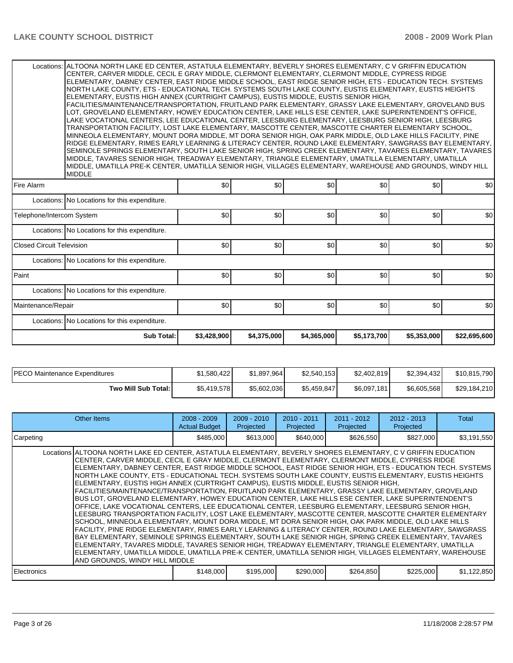|                                  | Locations: ALTOONA NORTH LAKE ED CENTER, ASTATULA ELEMENTARY, BEVERLY SHORES ELEMENTARY, C V GRIFFIN EDUCATION<br>CENTER, CARVER MIDDLE, CECIL E GRAY MIDDLE, CLERMONT ELEMENTARY, CLERMONT MIDDLE, CYPRESS RIDGE<br>ELEMENTARY, DABNEY CENTER, EAST RIDGE MIDDLE SCHOOL, EAST RIDGE SENIOR HIGH, ETS - EDUCATION TECH. SYSTEMS<br>NORTH LAKE COUNTY, ETS - EDUCATIONAL TECH. SYSTEMS SOUTH LAKE COUNTY, EUSTIS ELEMENTARY, EUSTIS HEIGHTS<br>ELEMENTARY, EUSTIS HIGH ANNEX (CURTRIGHT CAMPUS), EUSTIS MIDDLE, EUSTIS SENIOR HIGH,<br>FACILITIES/MAINTENANCE/TRANSPORTATION, FRUITLAND PARK ELEMENTARY, GRASSY LAKE ELEMENTARY, GROVELAND BUS<br>LOT, GROVELAND ELEMENTARY, HOWEY EDUCATION CENTER, LAKE HILLS ESE CENTER, LAKE SUPERINTENDENT'S OFFICE,<br>LAKE VOCATIONAL CENTERS, LEE EDUCATIONAL CENTER, LEESBURG ELEMENTARY, LEESBURG SENIOR HIGH, LEESBURG<br>TRANSPORTATION FACILITY, LOST LAKE ELEMENTARY, MASCOTTE CENTER, MASCOTTE CHARTER ELEMENTARY SCHOOL,<br>MINNEOLA ELEMENTARY, MOUNT DORA MIDDLE, MT DORA SENIOR HIGH, OAK PARK MIDDLE, OLD LAKE HILLS FACILITY, PINE<br>RIDGE ELEMENTARY, RIMES EARLY LEARNING & LITERACY CENTER, ROUND LAKE ELEMENTARY, SAWGRASS BAY ELEMENTARY,<br>SEMINOLE SPRINGS ELEMENTARY, SOUTH LAKE SENIOR HIGH, SPRING CREEK ELEMENTARY, TAVARES ELEMENTARY, TAVARES<br>MIDDLE, TAVARES SENIOR HIGH, TREADWAY ELEMENTARY, TRIANGLE ELEMENTARY, UMATILLA ELEMENTARY, UMATILLA<br>MIDDLE, UMATILLA PRE-K CENTER, UMATILLA SENIOR HIGH, VILLAGES ELEMENTARY, WAREHOUSE AND GROUNDS, WINDY HILL<br><b>MIDDLE</b> |     |     |     |     |     |                  |  |  |  |  |
|----------------------------------|----------------------------------------------------------------------------------------------------------------------------------------------------------------------------------------------------------------------------------------------------------------------------------------------------------------------------------------------------------------------------------------------------------------------------------------------------------------------------------------------------------------------------------------------------------------------------------------------------------------------------------------------------------------------------------------------------------------------------------------------------------------------------------------------------------------------------------------------------------------------------------------------------------------------------------------------------------------------------------------------------------------------------------------------------------------------------------------------------------------------------------------------------------------------------------------------------------------------------------------------------------------------------------------------------------------------------------------------------------------------------------------------------------------------------------------------------------------------------------------------------------------------------------------------------------|-----|-----|-----|-----|-----|------------------|--|--|--|--|
| <b>Fire Alarm</b>                |                                                                                                                                                                                                                                                                                                                                                                                                                                                                                                                                                                                                                                                                                                                                                                                                                                                                                                                                                                                                                                                                                                                                                                                                                                                                                                                                                                                                                                                                                                                                                          | \$0 | \$0 | \$0 | \$0 | \$0 | \$0 <sub>1</sub> |  |  |  |  |
|                                  | Locations: No Locations for this expenditure.                                                                                                                                                                                                                                                                                                                                                                                                                                                                                                                                                                                                                                                                                                                                                                                                                                                                                                                                                                                                                                                                                                                                                                                                                                                                                                                                                                                                                                                                                                            |     |     |     |     |     |                  |  |  |  |  |
| Telephone/Intercom System        |                                                                                                                                                                                                                                                                                                                                                                                                                                                                                                                                                                                                                                                                                                                                                                                                                                                                                                                                                                                                                                                                                                                                                                                                                                                                                                                                                                                                                                                                                                                                                          | \$0 | \$0 | \$0 | \$0 | \$0 | \$0              |  |  |  |  |
|                                  | Locations: No Locations for this expenditure.                                                                                                                                                                                                                                                                                                                                                                                                                                                                                                                                                                                                                                                                                                                                                                                                                                                                                                                                                                                                                                                                                                                                                                                                                                                                                                                                                                                                                                                                                                            |     |     |     |     |     |                  |  |  |  |  |
| <b>Closed Circuit Television</b> |                                                                                                                                                                                                                                                                                                                                                                                                                                                                                                                                                                                                                                                                                                                                                                                                                                                                                                                                                                                                                                                                                                                                                                                                                                                                                                                                                                                                                                                                                                                                                          | \$0 | \$0 | \$0 | \$0 | \$0 | \$0              |  |  |  |  |
|                                  | Locations: No Locations for this expenditure.                                                                                                                                                                                                                                                                                                                                                                                                                                                                                                                                                                                                                                                                                                                                                                                                                                                                                                                                                                                                                                                                                                                                                                                                                                                                                                                                                                                                                                                                                                            |     |     |     |     |     |                  |  |  |  |  |
| Paint                            |                                                                                                                                                                                                                                                                                                                                                                                                                                                                                                                                                                                                                                                                                                                                                                                                                                                                                                                                                                                                                                                                                                                                                                                                                                                                                                                                                                                                                                                                                                                                                          | \$0 | \$0 | \$0 | \$0 | \$0 | \$0              |  |  |  |  |
|                                  | Locations: No Locations for this expenditure.                                                                                                                                                                                                                                                                                                                                                                                                                                                                                                                                                                                                                                                                                                                                                                                                                                                                                                                                                                                                                                                                                                                                                                                                                                                                                                                                                                                                                                                                                                            |     |     |     |     |     |                  |  |  |  |  |
| Maintenance/Repair               |                                                                                                                                                                                                                                                                                                                                                                                                                                                                                                                                                                                                                                                                                                                                                                                                                                                                                                                                                                                                                                                                                                                                                                                                                                                                                                                                                                                                                                                                                                                                                          | \$0 | \$0 | \$0 | \$0 | \$0 | \$0              |  |  |  |  |
|                                  | Locations: No Locations for this expenditure.                                                                                                                                                                                                                                                                                                                                                                                                                                                                                                                                                                                                                                                                                                                                                                                                                                                                                                                                                                                                                                                                                                                                                                                                                                                                                                                                                                                                                                                                                                            |     |     |     |     |     |                  |  |  |  |  |
|                                  | \$3,428,900<br>\$4,375,000<br>\$4,365,000<br><b>Sub Total:</b><br>\$5,173,700<br>\$5,353,000<br>\$22,695,600                                                                                                                                                                                                                                                                                                                                                                                                                                                                                                                                                                                                                                                                                                                                                                                                                                                                                                                                                                                                                                                                                                                                                                                                                                                                                                                                                                                                                                             |     |     |     |     |     |                  |  |  |  |  |

| IPECO Maintenance Expenditures | \$1.580.422 | \$1.897.964 | \$2.540.153 | \$2,402,819 | \$2.394.432 | \$10,815,790 |
|--------------------------------|-------------|-------------|-------------|-------------|-------------|--------------|
| Two Mill Sub Total:            | \$5,419,578 | \$5.602.036 | \$5,459,847 | \$6,097,181 | \$6,605,568 | \$29,184,210 |

| Other Items                                                                                                                                                                                                                                                                                                                                                                                                                                                                                                                                                                                                                                                                                                                                                                                                                                                                                                                                                                                                                                                                                                                                                                                                                                                                                                                                                                                                                                                                                                                                      | $2008 - 2009$<br><b>Actual Budget</b> | $2009 - 2010$<br>Projected | $2010 - 2011$<br>Projected | $2011 - 2012$<br>Projected | 2012 - 2013<br>Projected | Total       |
|--------------------------------------------------------------------------------------------------------------------------------------------------------------------------------------------------------------------------------------------------------------------------------------------------------------------------------------------------------------------------------------------------------------------------------------------------------------------------------------------------------------------------------------------------------------------------------------------------------------------------------------------------------------------------------------------------------------------------------------------------------------------------------------------------------------------------------------------------------------------------------------------------------------------------------------------------------------------------------------------------------------------------------------------------------------------------------------------------------------------------------------------------------------------------------------------------------------------------------------------------------------------------------------------------------------------------------------------------------------------------------------------------------------------------------------------------------------------------------------------------------------------------------------------------|---------------------------------------|----------------------------|----------------------------|----------------------------|--------------------------|-------------|
| Carpeting                                                                                                                                                                                                                                                                                                                                                                                                                                                                                                                                                                                                                                                                                                                                                                                                                                                                                                                                                                                                                                                                                                                                                                                                                                                                                                                                                                                                                                                                                                                                        | \$485,000                             | \$613,000                  | \$640,000                  | \$626,550                  | \$827,000                | \$3,191,550 |
| Locations ALTOONA NORTH LAKE ED CENTER, ASTATULA ELEMENTARY, BEVERLY SHORES ELEMENTARY, C V GRIFFIN EDUCATION<br>CENTER, CARVER MIDDLE, CECIL E GRAY MIDDLE, CLERMONT ELEMENTARY, CLERMONT MIDDLE, CYPRESS RIDGE<br>ELEMENTARY, DABNEY CENTER, EAST RIDGE MIDDLE SCHOOL, EAST RIDGE SENIOR HIGH, ETS - EDUCATION TECH. SYSTEMS<br>NORTH LAKE COUNTY, ETS - EDUCATIONAL TECH. SYSTEMS SOUTH LAKE COUNTY, EUSTIS ELEMENTARY, EUSTIS HEIGHTS<br>ELEMENTARY, EUSTIS HIGH ANNEX (CURTRIGHT CAMPUS), EUSTIS MIDDLE, EUSTIS SENIOR HIGH,<br>FACILITIES/MAINTENANCE/TRANSPORTATION, FRUITLAND PARK ELEMENTARY, GRASSY LAKE ELEMENTARY, GROVELAND<br>BUS LOT. GROVELAND ELEMENTARY. HOWEY EDUCATION CENTER. LAKE HILLS ESE CENTER. LAKE SUPERINTENDENT'S<br>OFFICE, LAKE VOCATIONAL CENTERS, LEE EDUCATIONAL CENTER, LEESBURG ELEMENTARY, LEESBURG SENIOR HIGH,<br>LEESBURG TRANSPORTATION FACILITY, LOST LAKE ELEMENTARY, MASCOTTE CENTER, MASCOTTE CHARTER ELEMENTARY<br>SCHOOL, MINNEOLA ELEMENTARY, MOUNT DORA MIDDLE, MT DORA SENIOR HIGH, OAK PARK MIDDLE, OLD LAKE HILLS<br>FACILITY, PINE RIDGE ELEMENTARY, RIMES EARLY LEARNING & LITERACY CENTER, ROUND LAKE ELEMENTARY, SAWGRASS<br>BAY ELEMENTARY, SEMINOLE SPRINGS ELEMENTARY, SOUTH LAKE SENIOR HIGH, SPRING CREEK ELEMENTARY, TAVARES<br>ELEMENTARY, TAVARES MIDDLE, TAVARES SENIOR HIGH, TREADWAY ELEMENTARY, TRIANGLE ELEMENTARY, UMATILLA<br>ELEMENTARY, UMATILLA MIDDLE, UMATILLA PRE-K CENTER, UMATILLA SENIOR HIGH, VILLAGES ELEMENTARY, WAREHOUSE<br>AND GROUNDS. WINDY HILL MIDDLE |                                       |                            |                            |                            |                          |             |
| l Electronics                                                                                                                                                                                                                                                                                                                                                                                                                                                                                                                                                                                                                                                                                                                                                                                                                                                                                                                                                                                                                                                                                                                                                                                                                                                                                                                                                                                                                                                                                                                                    | \$148,000                             | \$195,000                  | \$290,000                  | \$264,850                  | \$225,000                | \$1,122,850 |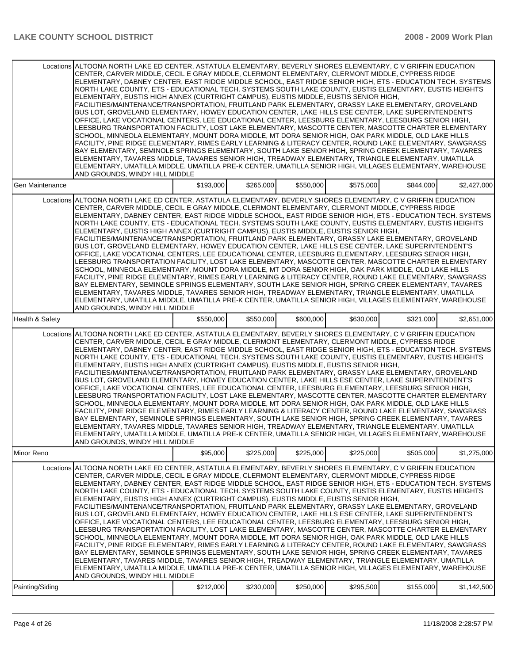| Locations ALTOONA NORTH LAKE ED CENTER, ASTATULA ELEMENTARY, BEVERLY SHORES ELEMENTARY, C V GRIFFIN EDUCATION<br>CENTER, CARVER MIDDLE, CECIL E GRAY MIDDLE, CLERMONT ELEMENTARY, CLERMONT MIDDLE, CYPRESS RIDGE<br>ELEMENTARY, DABNEY CENTER, EAST RIDGE MIDDLE SCHOOL, EAST RIDGE SENIOR HIGH, ETS - EDUCATION TECH. SYSTEMS<br>NORTH LAKE COUNTY, ETS - EDUCATIONAL TECH. SYSTEMS SOUTH LAKE COUNTY, EUSTIS ELEMENTARY, EUSTIS HEIGHTS<br>ELEMENTARY, EUSTIS HIGH ANNEX (CURTRIGHT CAMPUS), EUSTIS MIDDLE, EUSTIS SENIOR HIGH,<br>FACILITIES/MAINTENANCE/TRANSPORTATION, FRUITLAND PARK ELEMENTARY, GRASSY LAKE ELEMENTARY, GROVELAND<br>BUS LOT, GROVELAND ELEMENTARY, HOWEY EDUCATION CENTER, LAKE HILLS ESE CENTER, LAKE SUPERINTENDENT'S<br>OFFICE, LAKE VOCATIONAL CENTERS, LEE EDUCATIONAL CENTER, LEESBURG ELEMENTARY, LEESBURG SENIOR HIGH,<br>LEESBURG TRANSPORTATION FACILITY. LOST LAKE ELEMENTARY. MASCOTTE CENTER. MASCOTTE CHARTER ELEMENTARY<br>SCHOOL, MINNEOLA ELEMENTARY, MOUNT DORA MIDDLE, MT DORA SENIOR HIGH, OAK PARK MIDDLE, OLD LAKE HILLS<br>FACILITY, PINE RIDGE ELEMENTARY, RIMES EARLY LEARNING & LITERACY CENTER, ROUND LAKE ELEMENTARY, SAWGRASS<br>BAY ELEMENTARY, SEMINOLE SPRINGS ELEMENTARY, SOUTH LAKE SENIOR HIGH, SPRING CREEK ELEMENTARY, TAVARES<br>ELEMENTARY, TAVARES MIDDLE, TAVARES SENIOR HIGH, TREADWAY ELEMENTARY, TRIANGLE ELEMENTARY, UMATILLA<br>ELEMENTARY, UMATILLA MIDDLE, UMATILLA PRE-K CENTER, UMATILLA SENIOR HIGH, VILLAGES ELEMENTARY, WAREHOUSE<br>AND GROUNDS, WINDY HILL MIDDLE |                                                                                                                                                                                                                                                                                                                                                                                                                                                                                                                                                                                                                                                                                                                                                                                                                                                                                                                                                                                                                                                                                                                                                                                                                                                                                                                                                                                                                                                                                                                                                  |           |           |           |           |           |             |  |  |
|--------------------------------------------------------------------------------------------------------------------------------------------------------------------------------------------------------------------------------------------------------------------------------------------------------------------------------------------------------------------------------------------------------------------------------------------------------------------------------------------------------------------------------------------------------------------------------------------------------------------------------------------------------------------------------------------------------------------------------------------------------------------------------------------------------------------------------------------------------------------------------------------------------------------------------------------------------------------------------------------------------------------------------------------------------------------------------------------------------------------------------------------------------------------------------------------------------------------------------------------------------------------------------------------------------------------------------------------------------------------------------------------------------------------------------------------------------------------------------------------------------------------------------------------------|--------------------------------------------------------------------------------------------------------------------------------------------------------------------------------------------------------------------------------------------------------------------------------------------------------------------------------------------------------------------------------------------------------------------------------------------------------------------------------------------------------------------------------------------------------------------------------------------------------------------------------------------------------------------------------------------------------------------------------------------------------------------------------------------------------------------------------------------------------------------------------------------------------------------------------------------------------------------------------------------------------------------------------------------------------------------------------------------------------------------------------------------------------------------------------------------------------------------------------------------------------------------------------------------------------------------------------------------------------------------------------------------------------------------------------------------------------------------------------------------------------------------------------------------------|-----------|-----------|-----------|-----------|-----------|-------------|--|--|
| Gen Maintenance                                                                                                                                                                                                                                                                                                                                                                                                                                                                                                                                                                                                                                                                                                                                                                                                                                                                                                                                                                                                                                                                                                                                                                                                                                                                                                                                                                                                                                                                                                                                  |                                                                                                                                                                                                                                                                                                                                                                                                                                                                                                                                                                                                                                                                                                                                                                                                                                                                                                                                                                                                                                                                                                                                                                                                                                                                                                                                                                                                                                                                                                                                                  | \$193,000 | \$265,000 | \$550,000 | \$575,000 | \$844,000 | \$2,427,000 |  |  |
|                                                                                                                                                                                                                                                                                                                                                                                                                                                                                                                                                                                                                                                                                                                                                                                                                                                                                                                                                                                                                                                                                                                                                                                                                                                                                                                                                                                                                                                                                                                                                  | Locations ALTOONA NORTH LAKE ED CENTER, ASTATULA ELEMENTARY, BEVERLY SHORES ELEMENTARY, C V GRIFFIN EDUCATION<br>CENTER, CARVER MIDDLE, CECIL E GRAY MIDDLE, CLERMONT ELEMENTARY, CLERMONT MIDDLE, CYPRESS RIDGE<br>ELEMENTARY, DABNEY CENTER, EAST RIDGE MIDDLE SCHOOL, EAST RIDGE SENIOR HIGH, ETS - EDUCATION TECH. SYSTEMS<br>NORTH LAKE COUNTY, ETS - EDUCATIONAL TECH. SYSTEMS SOUTH LAKE COUNTY, EUSTIS ELEMENTARY, EUSTIS HEIGHTS<br>ELEMENTARY, EUSTIS HIGH ANNEX (CURTRIGHT CAMPUS), EUSTIS MIDDLE, EUSTIS SENIOR HIGH,<br>FACILITIES/MAINTENANCE/TRANSPORTATION, FRUITLAND PARK ELEMENTARY, GRASSY LAKE ELEMENTARY, GROVELAND<br>BUS LOT, GROVELAND ELEMENTARY, HOWEY EDUCATION CENTER, LAKE HILLS ESE CENTER, LAKE SUPERINTENDENT'S<br>OFFICE, LAKE VOCATIONAL CENTERS, LEE EDUCATIONAL CENTER, LEESBURG ELEMENTARY, LEESBURG SENIOR HIGH,<br>LEESBURG TRANSPORTATION FACILITY, LOST LAKE ELEMENTARY, MASCOTTE CENTER, MASCOTTE CHARTER ELEMENTARY<br>SCHOOL, MINNEOLA ELEMENTARY, MOUNT DORA MIDDLE, MT DORA SENIOR HIGH, OAK PARK MIDDLE, OLD LAKE HILLS<br>FACILITY, PINE RIDGE ELEMENTARY, RIMES EARLY LEARNING & LITERACY CENTER, ROUND LAKE ELEMENTARY, SAWGRASS<br>BAY ELEMENTARY, SEMINOLE SPRINGS ELEMENTARY, SOUTH LAKE SENIOR HIGH, SPRING CREEK ELEMENTARY, TAVARES<br>ELEMENTARY, TAVARES MIDDLE, TAVARES SENIOR HIGH, TREADWAY ELEMENTARY, TRIANGLE ELEMENTARY, UMATILLA<br>ELEMENTARY, UMATILLA MIDDLE, UMATILLA PRE-K CENTER, UMATILLA SENIOR HIGH, VILLAGES ELEMENTARY, WAREHOUSE<br>AND GROUNDS, WINDY HILL MIDDLE |           |           |           |           |           |             |  |  |
| Health & Safety                                                                                                                                                                                                                                                                                                                                                                                                                                                                                                                                                                                                                                                                                                                                                                                                                                                                                                                                                                                                                                                                                                                                                                                                                                                                                                                                                                                                                                                                                                                                  |                                                                                                                                                                                                                                                                                                                                                                                                                                                                                                                                                                                                                                                                                                                                                                                                                                                                                                                                                                                                                                                                                                                                                                                                                                                                                                                                                                                                                                                                                                                                                  | \$550,000 | \$550,000 | \$600,000 | \$630,000 | \$321,000 | \$2,651,000 |  |  |
|                                                                                                                                                                                                                                                                                                                                                                                                                                                                                                                                                                                                                                                                                                                                                                                                                                                                                                                                                                                                                                                                                                                                                                                                                                                                                                                                                                                                                                                                                                                                                  | Locations ALTOONA NORTH LAKE ED CENTER, ASTATULA ELEMENTARY, BEVERLY SHORES ELEMENTARY, C V GRIFFIN EDUCATION<br>CENTER, CARVER MIDDLE, CECIL E GRAY MIDDLE, CLERMONT ELEMENTARY, CLERMONT MIDDLE, CYPRESS RIDGE<br>ELEMENTARY, DABNEY CENTER, EAST RIDGE MIDDLE SCHOOL, EAST RIDGE SENIOR HIGH, ETS - EDUCATION TECH. SYSTEMS<br>NORTH LAKE COUNTY, ETS - EDUCATIONAL TECH. SYSTEMS SOUTH LAKE COUNTY, EUSTIS ELEMENTARY, EUSTIS HEIGHTS<br>ELEMENTARY, EUSTIS HIGH ANNEX (CURTRIGHT CAMPUS), EUSTIS MIDDLE, EUSTIS SENIOR HIGH,<br>FACILITIES/MAINTENANCE/TRANSPORTATION, FRUITLAND PARK ELEMENTARY, GRASSY LAKE ELEMENTARY, GROVELAND<br>BUS LOT, GROVELAND ELEMENTARY, HOWEY EDUCATION CENTER, LAKE HILLS ESE CENTER, LAKE SUPERINTENDENT'S<br>OFFICE, LAKE VOCATIONAL CENTERS, LEE EDUCATIONAL CENTER, LEESBURG ELEMENTARY, LEESBURG SENIOR HIGH,<br>LEESBURG TRANSPORTATION FACILITY, LOST LAKE ELEMENTARY, MASCOTTE CENTER, MASCOTTE CHARTER ELEMENTARY<br>SCHOOL, MINNEOLA ELEMENTARY, MOUNT DORA MIDDLE, MT DORA SENIOR HIGH, OAK PARK MIDDLE, OLD LAKE HILLS<br>FACILITY, PINE RIDGE ELEMENTARY, RIMES EARLY LEARNING & LITERACY CENTER, ROUND LAKE ELEMENTARY, SAWGRASS<br>BAY ELEMENTARY, SEMINOLE SPRINGS ELEMENTARY, SOUTH LAKE SENIOR HIGH, SPRING CREEK ELEMENTARY, TAVARES<br>ELEMENTARY, TAVARES MIDDLE, TAVARES SENIOR HIGH, TREADWAY ELEMENTARY, TRIANGLE ELEMENTARY, UMATILLA<br>ELEMENTARY, UMATILLA MIDDLE, UMATILLA PRE-K CENTER, UMATILLA SENIOR HIGH, VILLAGES ELEMENTARY, WAREHOUSE                                   |           |           |           |           |           |             |  |  |
| Minor Reno                                                                                                                                                                                                                                                                                                                                                                                                                                                                                                                                                                                                                                                                                                                                                                                                                                                                                                                                                                                                                                                                                                                                                                                                                                                                                                                                                                                                                                                                                                                                       |                                                                                                                                                                                                                                                                                                                                                                                                                                                                                                                                                                                                                                                                                                                                                                                                                                                                                                                                                                                                                                                                                                                                                                                                                                                                                                                                                                                                                                                                                                                                                  | \$95,000  | \$225,000 | \$225,000 | \$225,000 | \$505,000 | \$1,275,000 |  |  |
|                                                                                                                                                                                                                                                                                                                                                                                                                                                                                                                                                                                                                                                                                                                                                                                                                                                                                                                                                                                                                                                                                                                                                                                                                                                                                                                                                                                                                                                                                                                                                  | Locations ALTOONA NORTH LAKE ED CENTER, ASTATULA ELEMENTARY, BEVERLY SHORES ELEMENTARY, C V GRIFFIN EDUCATION<br>CENTER, CARVER MIDDLE, CECIL E GRAY MIDDLE, CLERMONT ELEMENTARY, CLERMONT MIDDLE, CYPRESS RIDGE<br>ELEMENTARY, DABNEY CENTER, EAST RIDGE MIDDLE SCHOOL, EAST RIDGE SENIOR HIGH, ETS - EDUCATION TECH. SYSTEMS<br>NORTH LAKE COUNTY, ETS - EDUCATIONAL TECH. SYSTEMS SOUTH LAKE COUNTY, EUSTIS ELEMENTARY, EUSTIS HEIGHTS<br>ELEMENTARY, EUSTIS HIGH ANNEX (CURTRIGHT CAMPUS), EUSTIS MIDDLE, EUSTIS SENIOR HIGH,<br>FACILITIES/MAINTENANCE/TRANSPORTATION, FRUITLAND PARK ELEMENTARY, GRASSY LAKE ELEMENTARY, GROVELAND<br>BUS LOT, GROVELAND ELEMENTARY, HOWEY EDUCATION CENTER, LAKE HILLS ESE CENTER, LAKE SUPERINTENDENT'S<br>OFFICE, LAKE VOCATIONAL CENTERS, LEE EDUCATIONAL CENTER, LEESBURG ELEMENTARY, LEESBURG SENIOR HIGH,<br>LEESBURG TRANSPORTATION FACILITY, LOST LAKE ELEMENTARY, MASCOTTE CENTER, MASCOTTE CHARTER ELEMENTARY<br>SCHOOL, MINNEOLA ELEMENTARY, MOUNT DORA MIDDLE, MT DORA SENIOR HIGH, OAK PARK MIDDLE, OLD LAKE HILLS<br>FACILITY, PINE RIDGE ELEMENTARY, RIMES EARLY LEARNING & LITERACY CENTER, ROUND LAKE ELEMENTARY, SAWGRASS<br>BAY ELEMENTARY, SEMINOLE SPRINGS ELEMENTARY, SOUTH LAKE SENIOR HIGH, SPRING CREEK ELEMENTARY, TAVARES<br>ELEMENTARY, TAVARES MIDDLE, TAVARES SENIOR HIGH, TREADWAY ELEMENTARY, TRIANGLE ELEMENTARY, UMATILLA<br>ELEMENTARY, UMATILLA MIDDLE, UMATILLA PRE-K CENTER, UMATILLA SENIOR HIGH, VILLAGES ELEMENTARY, WAREHOUSE<br>AND GROUNDS, WINDY HILL MIDDLE |           |           |           |           |           |             |  |  |
| Painting/Siding                                                                                                                                                                                                                                                                                                                                                                                                                                                                                                                                                                                                                                                                                                                                                                                                                                                                                                                                                                                                                                                                                                                                                                                                                                                                                                                                                                                                                                                                                                                                  |                                                                                                                                                                                                                                                                                                                                                                                                                                                                                                                                                                                                                                                                                                                                                                                                                                                                                                                                                                                                                                                                                                                                                                                                                                                                                                                                                                                                                                                                                                                                                  | \$212,000 | \$230,000 | \$250,000 | \$295,500 | \$155,000 | \$1,142,500 |  |  |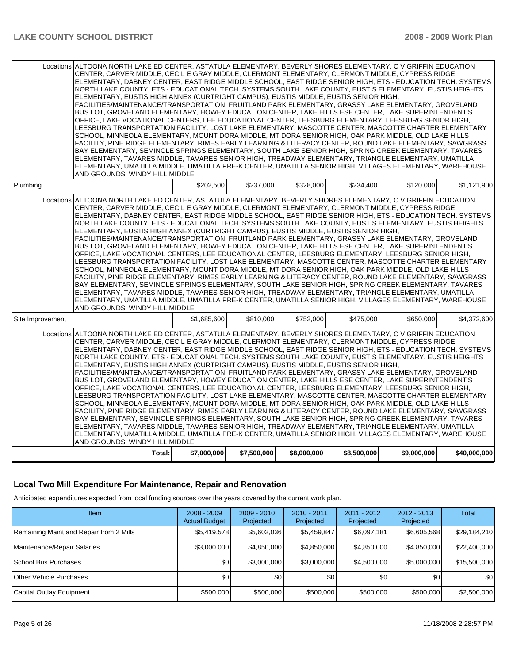|                  | Locations ALTOONA NORTH LAKE ED CENTER, ASTATULA ELEMENTARY, BEVERLY SHORES ELEMENTARY, C V GRIFFIN EDUCATION<br>CENTER, CARVER MIDDLE, CECIL E GRAY MIDDLE, CLERMONT ELEMENTARY, CLERMONT MIDDLE, CYPRESS RIDGE<br>ELEMENTARY, DABNEY CENTER, EAST RIDGE MIDDLE SCHOOL, EAST RIDGE SENIOR HIGH, ETS - EDUCATION TECH. SYSTEMS<br>NORTH LAKE COUNTY, ETS - EDUCATIONAL TECH. SYSTEMS SOUTH LAKE COUNTY, EUSTIS ELEMENTARY, EUSTIS HEIGHTS<br>ELEMENTARY, EUSTIS HIGH ANNEX (CURTRIGHT CAMPUS), EUSTIS MIDDLE, EUSTIS SENIOR HIGH,<br>FACILITIES/MAINTENANCE/TRANSPORTATION, FRUITLAND PARK ELEMENTARY, GRASSY LAKE ELEMENTARY, GROVELAND<br>BUS LOT, GROVELAND ELEMENTARY, HOWEY EDUCATION CENTER, LAKE HILLS ESE CENTER, LAKE SUPERINTENDENT'S<br>OFFICE, LAKE VOCATIONAL CENTERS, LEE EDUCATIONAL CENTER, LEESBURG ELEMENTARY, LEESBURG SENIOR HIGH,<br>LEESBURG TRANSPORTATION FACILITY. LOST LAKE ELEMENTARY. MASCOTTE CENTER. MASCOTTE CHARTER ELEMENTARY<br>SCHOOL, MINNEOLA ELEMENTARY, MOUNT DORA MIDDLE, MT DORA SENIOR HIGH, OAK PARK MIDDLE, OLD LAKE HILLS<br>FACILITY, PINE RIDGE ELEMENTARY, RIMES EARLY LEARNING & LITERACY CENTER, ROUND LAKE ELEMENTARY, SAWGRASS<br>BAY ELEMENTARY, SEMINOLE SPRINGS ELEMENTARY, SOUTH LAKE SENIOR HIGH, SPRING CREEK ELEMENTARY, TAVARES<br>ELEMENTARY, TAVARES MIDDLE, TAVARES SENIOR HIGH, TREADWAY ELEMENTARY, TRIANGLE ELEMENTARY, UMATILLA<br>ELEMENTARY, UMATILLA MIDDLE, UMATILLA PRE-K CENTER, UMATILLA SENIOR HIGH, VILLAGES ELEMENTARY, WAREHOUSE<br>AND GROUNDS, WINDY HILL MIDDLE |             |             |             |             |             |              |  |  |
|------------------|--------------------------------------------------------------------------------------------------------------------------------------------------------------------------------------------------------------------------------------------------------------------------------------------------------------------------------------------------------------------------------------------------------------------------------------------------------------------------------------------------------------------------------------------------------------------------------------------------------------------------------------------------------------------------------------------------------------------------------------------------------------------------------------------------------------------------------------------------------------------------------------------------------------------------------------------------------------------------------------------------------------------------------------------------------------------------------------------------------------------------------------------------------------------------------------------------------------------------------------------------------------------------------------------------------------------------------------------------------------------------------------------------------------------------------------------------------------------------------------------------------------------------------------------------|-------------|-------------|-------------|-------------|-------------|--------------|--|--|
| Plumbing         |                                                                                                                                                                                                                                                                                                                                                                                                                                                                                                                                                                                                                                                                                                                                                                                                                                                                                                                                                                                                                                                                                                                                                                                                                                                                                                                                                                                                                                                                                                                                                  | \$202,500   | \$237,000   | \$328,000   | \$234,400   | \$120,000   | \$1,121,900  |  |  |
|                  | Locations ALTOONA NORTH LAKE ED CENTER, ASTATULA ELEMENTARY, BEVERLY SHORES ELEMENTARY, C V GRIFFIN EDUCATION<br>CENTER. CARVER MIDDLE. CECIL E GRAY MIDDLE. CLERMONT ELEMENTARY. CLERMONT MIDDLE. CYPRESS RIDGE<br>ELEMENTARY, DABNEY CENTER, EAST RIDGE MIDDLE SCHOOL, EAST RIDGE SENIOR HIGH, ETS - EDUCATION TECH. SYSTEMS<br>NORTH LAKE COUNTY, ETS - EDUCATIONAL TECH. SYSTEMS SOUTH LAKE COUNTY, EUSTIS ELEMENTARY, EUSTIS HEIGHTS<br>ELEMENTARY, EUSTIS HIGH ANNEX (CURTRIGHT CAMPUS), EUSTIS MIDDLE, EUSTIS SENIOR HIGH,<br>FACILITIES/MAINTENANCE/TRANSPORTATION, FRUITLAND PARK ELEMENTARY, GRASSY LAKE ELEMENTARY, GROVELAND<br>BUS LOT, GROVELAND ELEMENTARY, HOWEY EDUCATION CENTER, LAKE HILLS ESE CENTER, LAKE SUPERINTENDENT'S<br>OFFICE, LAKE VOCATIONAL CENTERS, LEE EDUCATIONAL CENTER, LEESBURG ELEMENTARY, LEESBURG SENIOR HIGH,<br>LEESBURG TRANSPORTATION FACILITY, LOST LAKE ELEMENTARY, MASCOTTE CENTER, MASCOTTE CHARTER ELEMENTARY<br>SCHOOL, MINNEOLA ELEMENTARY, MOUNT DORA MIDDLE, MT DORA SENIOR HIGH, OAK PARK MIDDLE, OLD LAKE HILLS<br>FACILITY. PINE RIDGE ELEMENTARY. RIMES EARLY LEARNING & LITERACY CENTER. ROUND LAKE ELEMENTARY. SAWGRASS<br>BAY ELEMENTARY, SEMINOLE SPRINGS ELEMENTARY, SOUTH LAKE SENIOR HIGH, SPRING CREEK ELEMENTARY, TAVARES<br>ELEMENTARY, TAVARES MIDDLE, TAVARES SENIOR HIGH, TREADWAY ELEMENTARY, TRIANGLE ELEMENTARY, UMATILLA<br>ELEMENTARY, UMATILLA MIDDLE, UMATILLA PRE-K CENTER, UMATILLA SENIOR HIGH, VILLAGES ELEMENTARY, WAREHOUSE<br>AND GROUNDS, WINDY HILL MIDDLE |             |             |             |             |             |              |  |  |
| Site Improvement |                                                                                                                                                                                                                                                                                                                                                                                                                                                                                                                                                                                                                                                                                                                                                                                                                                                                                                                                                                                                                                                                                                                                                                                                                                                                                                                                                                                                                                                                                                                                                  | \$1.685.600 | \$810,000   | \$752,000   | \$475,000   | \$650,000   | \$4.372.600  |  |  |
|                  | Locations ALTOONA NORTH LAKE ED CENTER, ASTATULA ELEMENTARY, BEVERLY SHORES ELEMENTARY, C V GRIFFIN EDUCATION<br>CENTER, CARVER MIDDLE, CECIL E GRAY MIDDLE, CLERMONT ELEMENTARY, CLERMONT MIDDLE, CYPRESS RIDGE<br>ELEMENTARY, DABNEY CENTER, EAST RIDGE MIDDLE SCHOOL, EAST RIDGE SENIOR HIGH, ETS - EDUCATION TECH. SYSTEMS<br>NORTH LAKE COUNTY, ETS - EDUCATIONAL TECH. SYSTEMS SOUTH LAKE COUNTY, EUSTIS ELEMENTARY, EUSTIS HEIGHTS<br>ELEMENTARY, EUSTIS HIGH ANNEX (CURTRIGHT CAMPUS), EUSTIS MIDDLE, EUSTIS SENIOR HIGH,<br>FACILITIES/MAINTENANCE/TRANSPORTATION, FRUITLAND PARK ELEMENTARY, GRASSY LAKE ELEMENTARY, GROVELAND<br>BUS LOT, GROVELAND ELEMENTARY, HOWEY EDUCATION CENTER, LAKE HILLS ESE CENTER, LAKE SUPERINTENDENT'S<br>OFFICE. LAKE VOCATIONAL CENTERS. LEE EDUCATIONAL CENTER. LEESBURG ELEMENTARY. LEESBURG SENIOR HIGH.<br>LEESBURG TRANSPORTATION FACILITY, LOST LAKE ELEMENTARY, MASCOTTE CENTER, MASCOTTE CHARTER ELEMENTARY<br>SCHOOL, MINNEOLA ELEMENTARY, MOUNT DORA MIDDLE, MT DORA SENIOR HIGH, OAK PARK MIDDLE, OLD LAKE HILLS<br>FACILITY, PINE RIDGE ELEMENTARY, RIMES EARLY LEARNING & LITERACY CENTER, ROUND LAKE ELEMENTARY, SAWGRASS<br>BAY ELEMENTARY. SEMINOLE SPRINGS ELEMENTARY. SOUTH LAKE SENIOR HIGH. SPRING CREEK ELEMENTARY. TAVARES<br>ELEMENTARY, TAVARES MIDDLE, TAVARES SENIOR HIGH, TREADWAY ELEMENTARY, TRIANGLE ELEMENTARY, UMATILLA<br>ELEMENTARY, UMATILLA MIDDLE, UMATILLA PRE-K CENTER, UMATILLA SENIOR HIGH, VILLAGES ELEMENTARY, WAREHOUSE<br>AND GROUNDS, WINDY HILL MIDDLE |             |             |             |             |             |              |  |  |
|                  | Total:                                                                                                                                                                                                                                                                                                                                                                                                                                                                                                                                                                                                                                                                                                                                                                                                                                                                                                                                                                                                                                                                                                                                                                                                                                                                                                                                                                                                                                                                                                                                           | \$7,000,000 | \$7,500,000 | \$8,000,000 | \$8,500,000 | \$9,000,000 | \$40,000,000 |  |  |

# **Local Two Mill Expenditure For Maintenance, Repair and Renovation**

Anticipated expenditures expected from local funding sources over the years covered by the current work plan.

| Item                                    | $2008 - 2009$<br><b>Actual Budget</b> | $2009 - 2010$<br>Projected | $2010 - 2011$<br>Projected | $2011 - 2012$<br>Projected | $2012 - 2013$<br>Projected | <b>Total</b> |
|-----------------------------------------|---------------------------------------|----------------------------|----------------------------|----------------------------|----------------------------|--------------|
| Remaining Maint and Repair from 2 Mills | \$5,419,578                           | \$5,602,036                | \$5,459,847                | \$6,097,181                | \$6,605,568                | \$29,184,210 |
| Maintenance/Repair Salaries             | \$3,000,000                           | \$4.850,000                | \$4,850,000                | \$4,850,000                | \$4.850.000                | \$22,400,000 |
| l School Bus Purchases                  | \$0                                   | \$3,000,000                | \$3,000,000                | \$4,500,000                | \$5,000,000                | \$15,500,000 |
| <b>O</b> ther Vehicle Purchases         | \$0                                   | \$0 <sub>1</sub>           | \$0 <sub>0</sub>           | \$0                        | \$0                        | \$0          |
| Capital Outlay Equipment                | \$500,000                             | \$500,000                  | \$500,000                  | \$500,000                  | \$500,000                  | \$2,500,000  |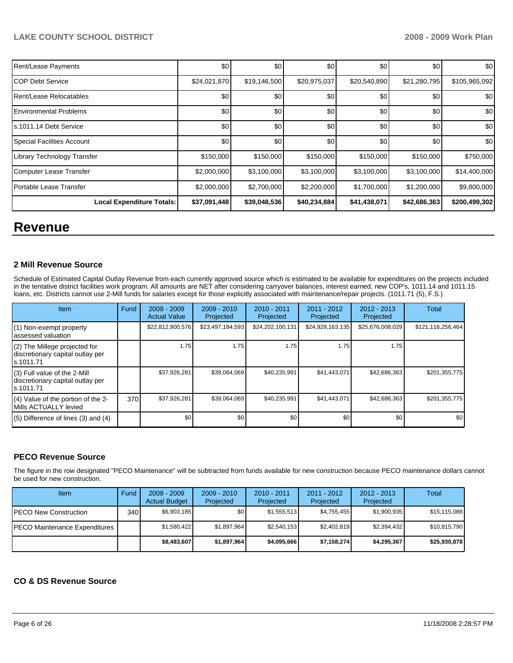| Rent/Lease Payments              | \$0          | \$0          | \$0          | \$0          | \$0          | \$0              |
|----------------------------------|--------------|--------------|--------------|--------------|--------------|------------------|
| ICOP Debt Service                | \$24,021,870 | \$19,146,500 | \$20,975,037 | \$20,540,890 | \$21,280,795 | \$105,965,092    |
| Rent/Lease Relocatables          | \$0          | \$0          | \$0          | \$0          | \$0          | \$0 <sub>1</sub> |
| <b>Environmental Problems</b>    | \$0          | \$0          | \$0          | \$0          | \$0          | \$0              |
| ls.1011.14 Debt Service          | \$0          | \$0          | \$0          | \$0          | \$0          | \$0              |
| Special Facilities Account       | \$0          | \$0          | \$0          | \$0          | \$0          | \$0              |
| Library Technology Transfer      | \$150,000    | \$150,000    | \$150,000    | \$150,000    | \$150,000    | \$750,000        |
| Computer Lease Transfer          | \$2,000,000  | \$3,100,000  | \$3,100,000  | \$3,100,000  | \$3,100,000  | \$14,400,000     |
| Portable Lease Transfer          | \$2,000,000  | \$2,700,000  | \$2,200,000  | \$1,700,000  | \$1,200,000  | \$9,800,000      |
| <b>Local Expenditure Totals:</b> | \$37,091,448 | \$39,048,536 | \$40,234,884 | \$41,438,071 | \$42,686,363 | \$200,499,302    |

# **Revenue**

#### **2 Mill Revenue Source**

Schedule of Estimated Capital Outlay Revenue from each currently approved source which is estimated to be available for expenditures on the projects included in the tentative district facilities work program. All amounts are NET after considering carryover balances, interest earned, new COP's, 1011.14 and 1011.15 loans, etc. Districts cannot use 2-Mill funds for salaries except for those explicitly associated with maintenance/repair projects. (1011.71 (5), F.S.)

| Item                                                                            | <b>Fund</b> | $2008 - 2009$<br><b>Actual Value</b> | $2009 - 2010$<br>Projected | $2010 - 2011$<br>Projected | $2011 - 2012$<br>Projected | $2012 - 2013$<br>Projected | Total             |
|---------------------------------------------------------------------------------|-------------|--------------------------------------|----------------------------|----------------------------|----------------------------|----------------------------|-------------------|
| (1) Non-exempt property<br>assessed valuation                                   |             | \$22,812,800,576                     | \$23,497,184,593           | \$24,202,100,131           | \$24,928,163,135           | \$25,676,008,029           | \$121,116,256,464 |
| (2) The Millege projected for<br>discretionary capital outlay per<br>ls.1011.71 |             | 1.75                                 | 1.75                       | 1.75                       | 1.75                       | 1.75                       |                   |
| (3) Full value of the 2-Mill<br>discretionary capital outlay per<br>s.1011.71   |             | \$37,926,281                         | \$39.064.069               | \$40,235,991               | \$41,443,071               | \$42,686,363               | \$201,355,775     |
| (4) Value of the portion of the 2-<br>Mills ACTUALLY levied                     | 370         | \$37,926,281                         | \$39,064,069               | \$40,235,991               | \$41,443,071               | \$42,686,363               | \$201,355,775     |
| $(5)$ Difference of lines $(3)$ and $(4)$                                       |             | \$0                                  | \$0                        | \$0                        | \$0                        | \$0                        | \$0               |

# **PECO Revenue Source**

The figure in the row designated "PECO Maintenance" will be subtracted from funds available for new construction because PECO maintenance dollars cannot be used for new construction.

| Item                          | Fund         | $2008 - 2009$<br><b>Actual Budget</b> | $2009 - 2010$<br>Projected | $2010 - 2011$<br>Projected | $2011 - 2012$<br>Projected | $2012 - 2013$<br>Projected | Total        |
|-------------------------------|--------------|---------------------------------------|----------------------------|----------------------------|----------------------------|----------------------------|--------------|
| IPECO New Construction        | 340 <b>I</b> | \$6,903,185                           | \$0                        | \$1,555,513                | \$4,755,455                | \$1,900,935                | \$15,115,088 |
| PECO Maintenance Expenditures |              | \$1,580,422                           | \$1,897,964                | \$2,540,153                | \$2,402,819                | \$2,394,432                | \$10,815,790 |
|                               |              | \$8,483,607                           | \$1,897,964                | \$4,095,666                | \$7,158,274                | \$4,295,367                | \$25,930,878 |

# **CO & DS Revenue Source**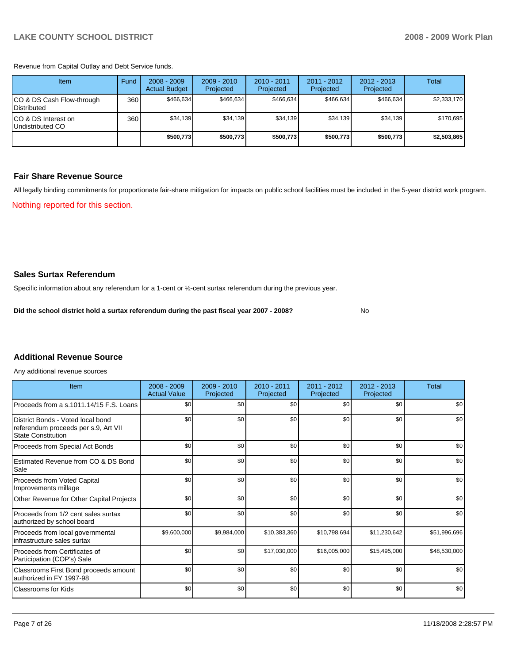Revenue from Capital Outlay and Debt Service funds.

| Item                                            | Fund | $2008 - 2009$<br><b>Actual Budget</b> | $2009 - 2010$<br>Projected | $2010 - 2011$<br>Projected | $2011 - 2012$<br>Projected | $2012 - 2013$<br>Projected | Total       |
|-------------------------------------------------|------|---------------------------------------|----------------------------|----------------------------|----------------------------|----------------------------|-------------|
| CO & DS Cash Flow-through<br><b>Distributed</b> | 360  | \$466.634                             | \$466,634                  | \$466.634                  | \$466.634                  | \$466,634                  | \$2,333,170 |
| CO & DS Interest on<br>Undistributed CO         | 360  | \$34,139                              | \$34,139                   | \$34.139                   | \$34,139                   | \$34,139                   | \$170,695   |
|                                                 |      | \$500,773                             | \$500.773                  | \$500.773                  | \$500.773                  | \$500,773                  | \$2,503,865 |

#### **Fair Share Revenue Source**

All legally binding commitments for proportionate fair-share mitigation for impacts on public school facilities must be included in the 5-year district work program. Nothing reported for this section.

#### **Sales Surtax Referendum**

Specific information about any referendum for a 1-cent or ½-cent surtax referendum during the previous year.

**Did the school district hold a surtax referendum during the past fiscal year 2007 - 2008?** No

#### **Additional Revenue Source**

Any additional revenue sources

| Item                                                                                                   | 2008 - 2009<br><b>Actual Value</b> | 2009 - 2010<br>Projected | $2010 - 2011$<br>Projected | 2011 - 2012<br>Projected | $2012 - 2013$<br>Projected | Total        |
|--------------------------------------------------------------------------------------------------------|------------------------------------|--------------------------|----------------------------|--------------------------|----------------------------|--------------|
| Proceeds from a s.1011.14/15 F.S. Loans                                                                | \$0 <sub>1</sub>                   | \$0                      | \$0                        | \$0                      | \$0                        | \$0          |
| District Bonds - Voted local bond<br>referendum proceeds per s.9, Art VII<br><b>State Constitution</b> | \$0                                | \$0                      | \$0                        | \$0                      | \$0                        | \$0          |
| Proceeds from Special Act Bonds                                                                        | \$0                                | \$0                      | \$0                        | \$0                      | \$0                        | \$0          |
| Estimated Revenue from CO & DS Bond<br>Sale                                                            | \$0                                | \$0                      | \$0                        | \$0                      | \$0                        | \$0          |
| Proceeds from Voted Capital<br>Improvements millage                                                    | \$0                                | \$0                      | \$0                        | \$0                      | \$0                        | \$0          |
| Other Revenue for Other Capital Projects                                                               | \$0                                | \$0                      | \$0                        | \$0                      | \$0                        | \$0          |
| Proceeds from 1/2 cent sales surtax<br>authorized by school board                                      | \$0                                | \$0                      | \$0                        | \$0                      | \$0                        | \$0          |
| Proceeds from local governmental<br>infrastructure sales surtax                                        | \$9,600,000                        | \$9,984,000              | \$10,383,360               | \$10,798,694             | \$11,230,642               | \$51,996,696 |
| Proceeds from Certificates of<br>Participation (COP's) Sale                                            | \$0                                | \$0                      | \$17,030,000               | \$16,005,000             | \$15,495,000               | \$48,530,000 |
| Classrooms First Bond proceeds amount<br>authorized in FY 1997-98                                      | \$0                                | \$0                      | \$0                        | \$0                      | \$0                        | \$0          |
| Classrooms for Kids                                                                                    | \$0                                | \$0                      | \$0                        | \$0                      | \$0                        | \$0          |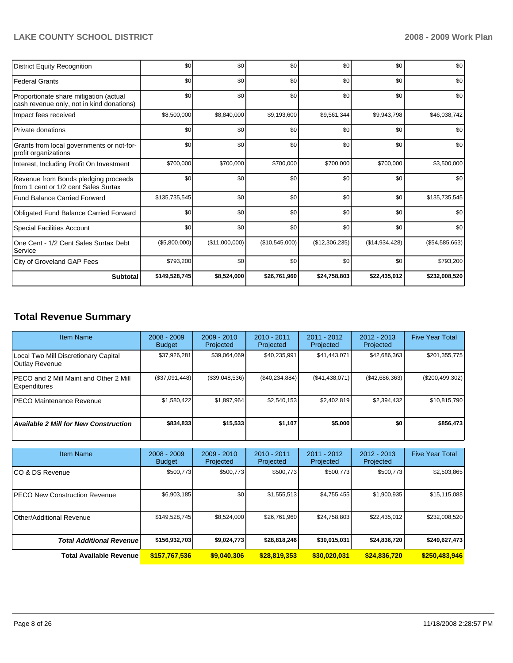| <b>District Equity Recognition</b>                                                  | \$0           | \$0            | \$0            | \$0            | \$0            | \$0            |
|-------------------------------------------------------------------------------------|---------------|----------------|----------------|----------------|----------------|----------------|
| <b>Federal Grants</b>                                                               | \$0           | \$0            | \$0            | \$0            | \$0            | \$0            |
| Proportionate share mitigation (actual<br>cash revenue only, not in kind donations) | \$0           | \$0            | \$0            | \$0            | \$0            | \$0            |
| Impact fees received                                                                | \$8,500,000   | \$8,840,000    | \$9,193,600    | \$9,561,344    | \$9,943,798    | \$46,038,742   |
| <b>Private donations</b>                                                            | \$0           | \$0            | \$0            | \$0            | \$0            | \$0            |
| Grants from local governments or not-for-<br>profit organizations                   | \$0           | \$0            | \$0            | \$0            | \$0            | \$0            |
| Interest, Including Profit On Investment                                            | \$700,000     | \$700,000      | \$700,000      | \$700,000      | \$700,000      | \$3,500,000    |
| Revenue from Bonds pledging proceeds<br>from 1 cent or 1/2 cent Sales Surtax        | \$0           | \$0            | \$0            | \$0            | \$0            | \$0            |
| <b>Fund Balance Carried Forward</b>                                                 | \$135,735,545 | \$0            | \$0            | \$0            | \$0            | \$135,735,545  |
| <b>Obligated Fund Balance Carried Forward</b>                                       | \$0           | \$0            | \$0            | \$0            | \$0            | \$0            |
| <b>Special Facilities Account</b>                                                   | \$0           | \$0            | \$0            | \$0            | \$0            | \$0            |
| One Cent - 1/2 Cent Sales Surtax Debt<br>Service                                    | (\$5,800,000) | (\$11,000,000) | (\$10,545,000) | (\$12,306,235) | (\$14,934,428) | (\$54,585,663) |
| City of Groveland GAP Fees                                                          | \$793,200     | \$0            | \$0            | \$0            | \$0            | \$793,200      |
| <b>Subtotal</b>                                                                     | \$149,528,745 | \$8,524,000    | \$26,761,960   | \$24,758,803   | \$22,435,012   | \$232,008,520  |

# **Total Revenue Summary**

| <b>Item Name</b>                                                      | $2008 - 2009$<br><b>Budget</b> | $2009 - 2010$<br>Projected | $2010 - 2011$<br>Projected | $2011 - 2012$<br>Projected | $2012 - 2013$<br>Projected | <b>Five Year Total</b> |
|-----------------------------------------------------------------------|--------------------------------|----------------------------|----------------------------|----------------------------|----------------------------|------------------------|
| Local Two Mill Discretionary Capital<br>Outlay Revenue                | \$37,926,281                   | \$39,064,069               | \$40,235,991               | \$41,443,071               | \$42,686,363               | \$201,355,775          |
| <b>IPECO and 2 Mill Maint and Other 2 Mill</b><br><b>Expenditures</b> | (\$37,091,448)                 | (\$39,048,536)             | (\$40,234,884)             | (\$41,438,071)             | ( \$42,686,363)            | $(\$200,499,302)$      |
| IPECO Maintenance Revenue                                             | \$1,580,422                    | \$1,897,964                | \$2.540.153                | \$2.402.819                | \$2,394,432                | \$10,815,790           |
| <b>Available 2 Mill for New Construction</b>                          | \$834,833                      | \$15,533                   | \$1,107                    | \$5,000                    | \$0                        | \$856,473              |

| <b>Item Name</b>                      | $2008 - 2009$<br><b>Budget</b> | $2009 - 2010$<br>Projected | $2010 - 2011$<br>Projected | $2011 - 2012$<br>Projected | $2012 - 2013$<br>Projected | <b>Five Year Total</b> |
|---------------------------------------|--------------------------------|----------------------------|----------------------------|----------------------------|----------------------------|------------------------|
| ICO & DS Revenue                      | \$500,773                      | \$500,773                  | \$500,773                  | \$500,773                  | \$500,773                  | \$2,503,865            |
| <b>IPECO New Construction Revenue</b> | \$6,903,185                    | \$0                        | \$1,555,513                | \$4,755,455                | \$1,900,935                | \$15,115,088           |
| <b>IOther/Additional Revenue</b>      | \$149,528,745                  | \$8,524,000                | \$26,761,960               | \$24,758,803               | \$22,435,012               | \$232,008,520          |
| <b>Total Additional Revenue</b>       | \$156,932,703                  | \$9.024.773                | \$28,818,246               | \$30,015,031               | \$24,836,720               | \$249,627,473          |
| <b>Total Available Revenue</b>        | \$157,767,536                  | \$9,040,306                | \$28,819,353               | \$30,020,031               | \$24,836,720               | \$250,483,946          |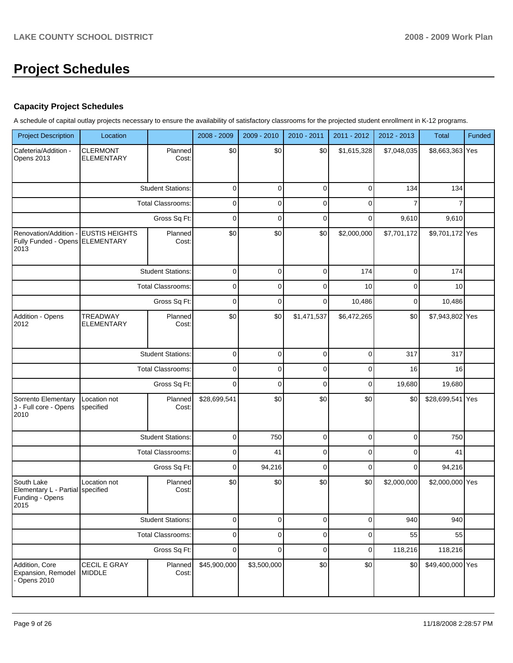# **Project Schedules**

# **Capacity Project Schedules**

A schedule of capital outlay projects necessary to ensure the availability of satisfactory classrooms for the projected student enrollment in K-12 programs.

| <b>Project Description</b>                                                | Location                             |                          | 2008 - 2009  | 2009 - 2010 | 2010 - 2011 | 2011 - 2012 | 2012 - 2013 | Total            | Funded |
|---------------------------------------------------------------------------|--------------------------------------|--------------------------|--------------|-------------|-------------|-------------|-------------|------------------|--------|
| Cafeteria/Addition -<br>Opens 2013                                        | <b>CLERMONT</b><br><b>ELEMENTARY</b> | Planned<br>Cost:         | \$0          | \$0         | \$0         | \$1,615,328 | \$7,048,035 | \$8,663,363 Yes  |        |
|                                                                           |                                      | <b>Student Stations:</b> | $\pmb{0}$    | $\mathbf 0$ | $\pmb{0}$   | $\mathbf 0$ | 134         | 134              |        |
|                                                                           |                                      | Total Classrooms:        | $\pmb{0}$    | $\mathbf 0$ | $\pmb{0}$   | $\mathbf 0$ | 7           | 7                |        |
|                                                                           |                                      | Gross Sq Ft:             | $\mathbf 0$  | $\mathbf 0$ | $\pmb{0}$   | $\mathbf 0$ | 9,610       | 9,610            |        |
| Renovation/Addition -<br>Fully Funded - Opens ELEMENTARY<br>2013          | <b>EUSTIS HEIGHTS</b>                | Planned<br>Cost:         | \$0          | \$0         | \$0         | \$2,000,000 | \$7,701,172 | \$9,701,172 Yes  |        |
|                                                                           |                                      | <b>Student Stations:</b> | $\pmb{0}$    | $\mathbf 0$ | 0           | 174         | 0           | 174              |        |
|                                                                           |                                      | Total Classrooms:        | $\pmb{0}$    | $\mathbf 0$ | 0           | 10          | 0           | 10               |        |
|                                                                           |                                      | Gross Sq Ft:             | $\pmb{0}$    | $\mathbf 0$ | $\mathbf 0$ | 10,486      | 0           | 10,486           |        |
| Addition - Opens<br>2012                                                  | <b>TREADWAY</b><br><b>ELEMENTARY</b> | Planned<br>Cost:         | \$0          | \$0         | \$1,471,537 | \$6,472,265 | \$0         | \$7,943,802 Yes  |        |
|                                                                           |                                      | <b>Student Stations:</b> | $\mathbf 0$  | $\mathbf 0$ | $\pmb{0}$   | $\mathbf 0$ | 317         | 317              |        |
|                                                                           |                                      | <b>Total Classrooms:</b> | $\pmb{0}$    | $\mathbf 0$ | $\pmb{0}$   | $\mathbf 0$ | 16          | 16               |        |
|                                                                           |                                      | Gross Sq Ft:             | $\mathbf 0$  | $\mathbf 0$ | $\mathbf 0$ | $\mathbf 0$ | 19,680      | 19,680           |        |
| Sorrento Elementary<br>J - Full core - Opens<br>2010                      | Location not<br>specified            | Planned<br>Cost:         | \$28,699,541 | \$0         | \$0         | \$0         | \$0         | \$28,699,541 Yes |        |
|                                                                           |                                      | <b>Student Stations:</b> | $\pmb{0}$    | 750         | $\pmb{0}$   | $\mathbf 0$ | 0           | 750              |        |
|                                                                           |                                      | Total Classrooms:        | $\pmb{0}$    | 41          | $\pmb{0}$   | $\mathbf 0$ | 0           | 41               |        |
|                                                                           |                                      | Gross Sq Ft:             | $\mathbf 0$  | 94,216      | $\pmb{0}$   | $\mathbf 0$ | 0           | 94,216           |        |
| South Lake<br>Elementary L - Partial specified<br>Funding - Opens<br>2015 | Location not                         | Planned<br>Cost:         | \$0          | \$0         | \$0         | \$0         | \$2,000,000 | \$2,000,000 Yes  |        |
|                                                                           |                                      | <b>Student Stations:</b> | $\pmb{0}$    | $\mathbf 0$ | $\pmb{0}$   | $\mathbf 0$ | 940         | 940              |        |
|                                                                           |                                      | Total Classrooms:        | $\pmb{0}$    | $\mathbf 0$ | $\pmb{0}$   | $\mathbf 0$ | 55          | 55               |        |
|                                                                           |                                      | Gross Sq Ft:             | $\pmb{0}$    | $\mathbf 0$ | $\pmb{0}$   | $\mathbf 0$ | 118,216     | 118,216          |        |
| Addition, Core<br>Expansion, Remodel<br>Opens 2010                        | CECIL E GRAY<br><b>MIDDLE</b>        | Planned<br>Cost:         | \$45,900,000 | \$3,500,000 | \$0         | \$0         | \$0         | \$49,400,000 Yes |        |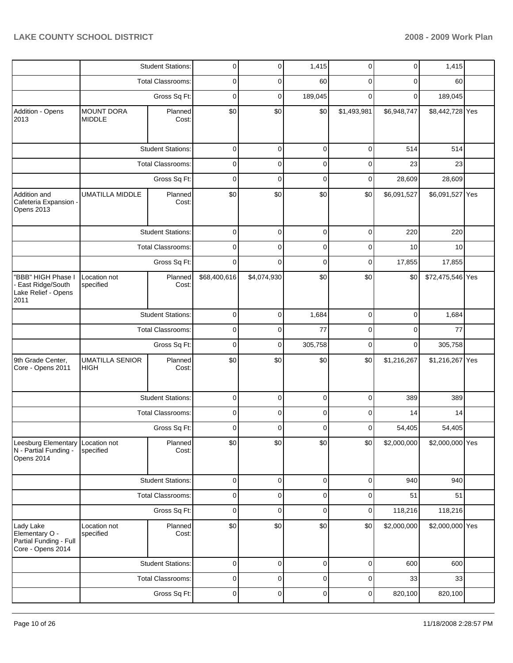|                                                                            |                                                                                                                                                                                                                                                                                                                                                                                                                                                                                                                                                                                                                                                                                                                                                                                                                                                                                                                                                                                                                                                                                                                                                                                                                                                                                                                                                                                                                                                                                                                                                                                                                                        | <b>Student Stations:</b> | 0           | 0           | 1,415       | 0           | 0           | 1,415   |  |
|----------------------------------------------------------------------------|----------------------------------------------------------------------------------------------------------------------------------------------------------------------------------------------------------------------------------------------------------------------------------------------------------------------------------------------------------------------------------------------------------------------------------------------------------------------------------------------------------------------------------------------------------------------------------------------------------------------------------------------------------------------------------------------------------------------------------------------------------------------------------------------------------------------------------------------------------------------------------------------------------------------------------------------------------------------------------------------------------------------------------------------------------------------------------------------------------------------------------------------------------------------------------------------------------------------------------------------------------------------------------------------------------------------------------------------------------------------------------------------------------------------------------------------------------------------------------------------------------------------------------------------------------------------------------------------------------------------------------------|--------------------------|-------------|-------------|-------------|-------------|-------------|---------|--|
|                                                                            |                                                                                                                                                                                                                                                                                                                                                                                                                                                                                                                                                                                                                                                                                                                                                                                                                                                                                                                                                                                                                                                                                                                                                                                                                                                                                                                                                                                                                                                                                                                                                                                                                                        |                          | 0           | 0           | 60          | 0           | 0           |         |  |
|                                                                            |                                                                                                                                                                                                                                                                                                                                                                                                                                                                                                                                                                                                                                                                                                                                                                                                                                                                                                                                                                                                                                                                                                                                                                                                                                                                                                                                                                                                                                                                                                                                                                                                                                        | Gross Sq Ft:             | $\mathbf 0$ | 0           | 189,045     | $\Omega$    | 0           | 189,045 |  |
| Addition - Opens<br>2013                                                   | <b>MOUNT DORA</b><br><b>MIDDLE</b>                                                                                                                                                                                                                                                                                                                                                                                                                                                                                                                                                                                                                                                                                                                                                                                                                                                                                                                                                                                                                                                                                                                                                                                                                                                                                                                                                                                                                                                                                                                                                                                                     | Planned<br>Cost:         | \$0         | \$0         | \$0         | \$1,493,981 | \$6,948,747 |         |  |
|                                                                            |                                                                                                                                                                                                                                                                                                                                                                                                                                                                                                                                                                                                                                                                                                                                                                                                                                                                                                                                                                                                                                                                                                                                                                                                                                                                                                                                                                                                                                                                                                                                                                                                                                        |                          | $\mathbf 0$ | 0           | 0           | 0           | 514         | 514     |  |
|                                                                            | <b>UMATILLA MIDDLE</b><br>Location not<br>specified<br>HIGH<br>Location not<br>specified<br>Location not<br>specified                                                                                                                                                                                                                                                                                                                                                                                                                                                                                                                                                                                                                                                                                                                                                                                                                                                                                                                                                                                                                                                                                                                                                                                                                                                                                                                                                                                                                                                                                                                  |                          | 0           | $\mathbf 0$ | 0           | 0           | 23          | 23      |  |
|                                                                            |                                                                                                                                                                                                                                                                                                                                                                                                                                                                                                                                                                                                                                                                                                                                                                                                                                                                                                                                                                                                                                                                                                                                                                                                                                                                                                                                                                                                                                                                                                                                                                                                                                        | Gross Sq Ft:             | $\mathbf 0$ | $\mathbf 0$ | $\mathbf 0$ | 0           | 28,609      | 28,609  |  |
| Addition and<br>Cafeteria Expansion -<br>Opens 2013                        | <b>Total Classrooms:</b><br>60<br>\$8,442,728 Yes<br><b>Student Stations:</b><br><b>Total Classrooms:</b><br>Planned<br>\$0<br>\$0<br>\$0<br>\$0<br>\$6,091,527<br>\$6,091,527 Yes<br>Cost:<br><b>Student Stations:</b><br>0<br>$\mathbf 0$<br>0<br>0<br>220<br>220<br><b>Total Classrooms:</b><br>0<br>0<br>0<br>0<br>10<br>10<br>0<br>$\mathbf 0$<br>Gross Sq Ft:<br>0<br>0<br>17,855<br>17,855<br>\$68,400,616<br>\$0<br>\$0<br>\$4,074,930<br>\$0<br>\$72,475,546 Yes<br>Planned<br>Cost:<br><b>Student Stations:</b><br>0<br>0<br>0<br>$\mathbf 0$<br>1,684<br>1,684<br><b>Total Classrooms:</b><br>0<br>$\mathbf 0$<br>77<br>77<br>0<br>$\mathbf 0$<br>$\mathbf 0$<br>305,758<br>305,758<br>Gross Sq Ft:<br>0<br>0<br>0<br><b>UMATILLA SENIOR</b><br>\$0<br>\$0<br>\$0<br>\$0<br>\$1,216,267<br>\$1,216,267 Yes<br>Planned<br>Cost:<br><b>Student Stations:</b><br>0<br>$\mathbf 0$<br>0<br>0<br>389<br>389<br>0<br>0<br><b>Total Classrooms:</b><br>0<br>0<br>14<br>14<br>Gross Sq Ft:<br>0<br>$\mathbf 0$<br>$\mathbf 0$<br>54,405<br>0<br>54,405<br>\$0<br>\$0<br>\$0<br>\$0<br>\$2,000,000 Yes<br>Planned<br>\$2,000,000<br>Cost:<br>0<br>0<br>0<br>0<br><b>Student Stations:</b><br>940<br>940<br>Total Classrooms:<br>$\mathbf 0$<br>0<br>0<br>0<br>51<br>51<br>$\mathbf 0$<br>0<br>$\mathbf 0$<br>118,216<br>Gross Sq Ft:<br>0<br>118,216<br>\$0<br>\$0<br>\$0<br>\$0<br>\$2,000,000 Yes<br>Planned<br>\$2,000,000<br>Cost:<br><b>Student Stations:</b><br>0<br>0<br>0<br>0<br>600<br>600<br>0<br>0<br>0<br><b>Total Classrooms:</b><br>0<br>33<br>33<br>0<br>0<br>$\mathbf 0$<br>0<br>820,100<br>820,100<br>Gross Sq Ft: |                          |             |             |             |             |             |         |  |
|                                                                            |                                                                                                                                                                                                                                                                                                                                                                                                                                                                                                                                                                                                                                                                                                                                                                                                                                                                                                                                                                                                                                                                                                                                                                                                                                                                                                                                                                                                                                                                                                                                                                                                                                        |                          |             |             |             |             |             |         |  |
|                                                                            |                                                                                                                                                                                                                                                                                                                                                                                                                                                                                                                                                                                                                                                                                                                                                                                                                                                                                                                                                                                                                                                                                                                                                                                                                                                                                                                                                                                                                                                                                                                                                                                                                                        |                          |             |             |             |             |             |         |  |
|                                                                            |                                                                                                                                                                                                                                                                                                                                                                                                                                                                                                                                                                                                                                                                                                                                                                                                                                                                                                                                                                                                                                                                                                                                                                                                                                                                                                                                                                                                                                                                                                                                                                                                                                        |                          |             |             |             |             |             |         |  |
| "BBB" HIGH Phase I<br>East Ridge/South<br>Lake Relief - Opens<br>2011      |                                                                                                                                                                                                                                                                                                                                                                                                                                                                                                                                                                                                                                                                                                                                                                                                                                                                                                                                                                                                                                                                                                                                                                                                                                                                                                                                                                                                                                                                                                                                                                                                                                        |                          |             |             |             |             |             |         |  |
|                                                                            |                                                                                                                                                                                                                                                                                                                                                                                                                                                                                                                                                                                                                                                                                                                                                                                                                                                                                                                                                                                                                                                                                                                                                                                                                                                                                                                                                                                                                                                                                                                                                                                                                                        |                          |             |             |             |             |             |         |  |
|                                                                            |                                                                                                                                                                                                                                                                                                                                                                                                                                                                                                                                                                                                                                                                                                                                                                                                                                                                                                                                                                                                                                                                                                                                                                                                                                                                                                                                                                                                                                                                                                                                                                                                                                        |                          |             |             |             |             |             |         |  |
|                                                                            |                                                                                                                                                                                                                                                                                                                                                                                                                                                                                                                                                                                                                                                                                                                                                                                                                                                                                                                                                                                                                                                                                                                                                                                                                                                                                                                                                                                                                                                                                                                                                                                                                                        |                          |             |             |             |             |             |         |  |
| 9th Grade Center,<br>Core - Opens 2011                                     |                                                                                                                                                                                                                                                                                                                                                                                                                                                                                                                                                                                                                                                                                                                                                                                                                                                                                                                                                                                                                                                                                                                                                                                                                                                                                                                                                                                                                                                                                                                                                                                                                                        |                          |             |             |             |             |             |         |  |
|                                                                            |                                                                                                                                                                                                                                                                                                                                                                                                                                                                                                                                                                                                                                                                                                                                                                                                                                                                                                                                                                                                                                                                                                                                                                                                                                                                                                                                                                                                                                                                                                                                                                                                                                        |                          |             |             |             |             |             |         |  |
|                                                                            |                                                                                                                                                                                                                                                                                                                                                                                                                                                                                                                                                                                                                                                                                                                                                                                                                                                                                                                                                                                                                                                                                                                                                                                                                                                                                                                                                                                                                                                                                                                                                                                                                                        |                          |             |             |             |             |             |         |  |
|                                                                            |                                                                                                                                                                                                                                                                                                                                                                                                                                                                                                                                                                                                                                                                                                                                                                                                                                                                                                                                                                                                                                                                                                                                                                                                                                                                                                                                                                                                                                                                                                                                                                                                                                        |                          |             |             |             |             |             |         |  |
| Leesburg Elementary<br>N - Partial Funding -<br>Opens 2014                 |                                                                                                                                                                                                                                                                                                                                                                                                                                                                                                                                                                                                                                                                                                                                                                                                                                                                                                                                                                                                                                                                                                                                                                                                                                                                                                                                                                                                                                                                                                                                                                                                                                        |                          |             |             |             |             |             |         |  |
|                                                                            |                                                                                                                                                                                                                                                                                                                                                                                                                                                                                                                                                                                                                                                                                                                                                                                                                                                                                                                                                                                                                                                                                                                                                                                                                                                                                                                                                                                                                                                                                                                                                                                                                                        |                          |             |             |             |             |             |         |  |
|                                                                            |                                                                                                                                                                                                                                                                                                                                                                                                                                                                                                                                                                                                                                                                                                                                                                                                                                                                                                                                                                                                                                                                                                                                                                                                                                                                                                                                                                                                                                                                                                                                                                                                                                        |                          |             |             |             |             |             |         |  |
|                                                                            |                                                                                                                                                                                                                                                                                                                                                                                                                                                                                                                                                                                                                                                                                                                                                                                                                                                                                                                                                                                                                                                                                                                                                                                                                                                                                                                                                                                                                                                                                                                                                                                                                                        |                          |             |             |             |             |             |         |  |
| Lady Lake<br>Elementary O -<br>Partial Funding - Full<br>Core - Opens 2014 |                                                                                                                                                                                                                                                                                                                                                                                                                                                                                                                                                                                                                                                                                                                                                                                                                                                                                                                                                                                                                                                                                                                                                                                                                                                                                                                                                                                                                                                                                                                                                                                                                                        |                          |             |             |             |             |             |         |  |
|                                                                            |                                                                                                                                                                                                                                                                                                                                                                                                                                                                                                                                                                                                                                                                                                                                                                                                                                                                                                                                                                                                                                                                                                                                                                                                                                                                                                                                                                                                                                                                                                                                                                                                                                        |                          |             |             |             |             |             |         |  |
|                                                                            |                                                                                                                                                                                                                                                                                                                                                                                                                                                                                                                                                                                                                                                                                                                                                                                                                                                                                                                                                                                                                                                                                                                                                                                                                                                                                                                                                                                                                                                                                                                                                                                                                                        |                          |             |             |             |             |             |         |  |
|                                                                            |                                                                                                                                                                                                                                                                                                                                                                                                                                                                                                                                                                                                                                                                                                                                                                                                                                                                                                                                                                                                                                                                                                                                                                                                                                                                                                                                                                                                                                                                                                                                                                                                                                        |                          |             |             |             |             |             |         |  |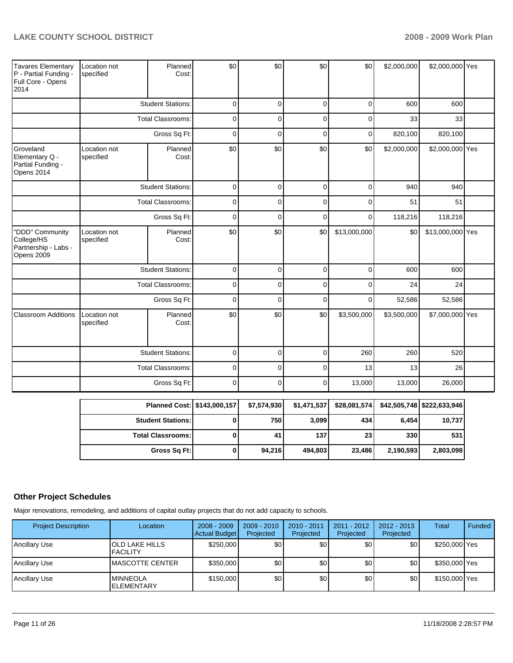| $\Omega$<br><b>Student Stations:</b><br>$\Omega$<br>$\Omega$<br>$\Omega$<br>600<br>600<br><b>Total Classrooms:</b><br>$\mathbf 0$<br>$\mathbf 0$<br>$\mathbf 0$<br>$\mathbf 0$<br>33<br>33<br>$\mathbf 0$<br>$\mathbf 0$<br>820,100<br>Gross Sq Ft:<br>$\mathbf 0$<br>$\mathbf 0$<br>820,100<br>\$0<br>\$0<br>\$0<br>\$0<br>\$2,000,000<br>\$2,000,000 Yes<br>Groveland<br>Location not<br>Planned<br>Cost:<br>Elementary Q -<br>specified<br>Partial Funding -<br>Opens 2014<br><b>Student Stations:</b><br>$\mathbf 0$<br>$\mathbf 0$<br>$\mathbf 0$<br>940<br>940<br>$\mathbf 0$<br>Total Classrooms:<br>$\mathbf 0$<br>$\Omega$<br>$\mathbf 0$<br>$\Omega$<br>51<br>51<br>Gross Sq Ft:<br>118,216<br>118,216<br>$\mathbf 0$<br>$\mathbf 0$<br>$\mathbf 0$<br>$\mathbf 0$<br>\$0<br>\$0<br>\$0<br>\$13,000,000<br>\$13,000,000 Yes<br>"DDD" Community<br>Location not<br>Planned<br>\$0<br>College/HS<br>specified<br>Cost:<br>Partnership - Labs -<br>Opens 2009<br>$\mathbf 0$<br><b>Student Stations:</b><br>$\mathbf 0$<br>$\mathbf 0$<br>$\mathbf 0$<br>600<br>600<br><b>Total Classrooms:</b><br>$\mathbf 0$<br>$\mathbf 0$<br>$\mathbf 0$<br>24<br>24<br>$\Omega$<br>Gross Sq Ft:<br>$\mathbf 0$<br>52,586<br>52,586<br>$\Omega$<br>$\mathbf 0$<br>$\Omega$<br><b>Classroom Additions</b><br>\$0<br>\$0<br>\$0<br>\$7,000,000 Yes<br>Planned<br>\$3,500,000<br>\$3,500,000<br>Location not<br>specified<br>Cost:<br><b>Student Stations:</b><br>$\mathbf 0$<br>$\mathbf 0$<br>$\mathbf 0$<br>260<br>260<br>520<br><b>Total Classrooms:</b><br>$\mathbf 0$<br>$\mathbf 0$<br>$\mathbf 0$<br>13<br>13<br>26<br>$\mathbf 0$<br>$\Omega$<br>$\mathbf 0$<br>Gross Sq Ft:<br>13,000<br>13,000<br>26,000 | <b>Tavares Elementary</b><br>P - Partial Funding -<br>Full Core - Opens<br>2014 | Location not<br>specified | Planned<br>Cost: | \$0 | \$0 | \$0 | \$0 | \$2,000,000 | \$2,000,000 Yes |  |
|-------------------------------------------------------------------------------------------------------------------------------------------------------------------------------------------------------------------------------------------------------------------------------------------------------------------------------------------------------------------------------------------------------------------------------------------------------------------------------------------------------------------------------------------------------------------------------------------------------------------------------------------------------------------------------------------------------------------------------------------------------------------------------------------------------------------------------------------------------------------------------------------------------------------------------------------------------------------------------------------------------------------------------------------------------------------------------------------------------------------------------------------------------------------------------------------------------------------------------------------------------------------------------------------------------------------------------------------------------------------------------------------------------------------------------------------------------------------------------------------------------------------------------------------------------------------------------------------------------------------------------------------------------------------------------------------------------------|---------------------------------------------------------------------------------|---------------------------|------------------|-----|-----|-----|-----|-------------|-----------------|--|
|                                                                                                                                                                                                                                                                                                                                                                                                                                                                                                                                                                                                                                                                                                                                                                                                                                                                                                                                                                                                                                                                                                                                                                                                                                                                                                                                                                                                                                                                                                                                                                                                                                                                                                             |                                                                                 |                           |                  |     |     |     |     |             |                 |  |
|                                                                                                                                                                                                                                                                                                                                                                                                                                                                                                                                                                                                                                                                                                                                                                                                                                                                                                                                                                                                                                                                                                                                                                                                                                                                                                                                                                                                                                                                                                                                                                                                                                                                                                             |                                                                                 |                           |                  |     |     |     |     |             |                 |  |
|                                                                                                                                                                                                                                                                                                                                                                                                                                                                                                                                                                                                                                                                                                                                                                                                                                                                                                                                                                                                                                                                                                                                                                                                                                                                                                                                                                                                                                                                                                                                                                                                                                                                                                             |                                                                                 |                           |                  |     |     |     |     |             |                 |  |
|                                                                                                                                                                                                                                                                                                                                                                                                                                                                                                                                                                                                                                                                                                                                                                                                                                                                                                                                                                                                                                                                                                                                                                                                                                                                                                                                                                                                                                                                                                                                                                                                                                                                                                             |                                                                                 |                           |                  |     |     |     |     |             |                 |  |
|                                                                                                                                                                                                                                                                                                                                                                                                                                                                                                                                                                                                                                                                                                                                                                                                                                                                                                                                                                                                                                                                                                                                                                                                                                                                                                                                                                                                                                                                                                                                                                                                                                                                                                             |                                                                                 |                           |                  |     |     |     |     |             |                 |  |
|                                                                                                                                                                                                                                                                                                                                                                                                                                                                                                                                                                                                                                                                                                                                                                                                                                                                                                                                                                                                                                                                                                                                                                                                                                                                                                                                                                                                                                                                                                                                                                                                                                                                                                             |                                                                                 |                           |                  |     |     |     |     |             |                 |  |
|                                                                                                                                                                                                                                                                                                                                                                                                                                                                                                                                                                                                                                                                                                                                                                                                                                                                                                                                                                                                                                                                                                                                                                                                                                                                                                                                                                                                                                                                                                                                                                                                                                                                                                             |                                                                                 |                           |                  |     |     |     |     |             |                 |  |
|                                                                                                                                                                                                                                                                                                                                                                                                                                                                                                                                                                                                                                                                                                                                                                                                                                                                                                                                                                                                                                                                                                                                                                                                                                                                                                                                                                                                                                                                                                                                                                                                                                                                                                             |                                                                                 |                           |                  |     |     |     |     |             |                 |  |
|                                                                                                                                                                                                                                                                                                                                                                                                                                                                                                                                                                                                                                                                                                                                                                                                                                                                                                                                                                                                                                                                                                                                                                                                                                                                                                                                                                                                                                                                                                                                                                                                                                                                                                             |                                                                                 |                           |                  |     |     |     |     |             |                 |  |
|                                                                                                                                                                                                                                                                                                                                                                                                                                                                                                                                                                                                                                                                                                                                                                                                                                                                                                                                                                                                                                                                                                                                                                                                                                                                                                                                                                                                                                                                                                                                                                                                                                                                                                             |                                                                                 |                           |                  |     |     |     |     |             |                 |  |
|                                                                                                                                                                                                                                                                                                                                                                                                                                                                                                                                                                                                                                                                                                                                                                                                                                                                                                                                                                                                                                                                                                                                                                                                                                                                                                                                                                                                                                                                                                                                                                                                                                                                                                             |                                                                                 |                           |                  |     |     |     |     |             |                 |  |
|                                                                                                                                                                                                                                                                                                                                                                                                                                                                                                                                                                                                                                                                                                                                                                                                                                                                                                                                                                                                                                                                                                                                                                                                                                                                                                                                                                                                                                                                                                                                                                                                                                                                                                             |                                                                                 |                           |                  |     |     |     |     |             |                 |  |
|                                                                                                                                                                                                                                                                                                                                                                                                                                                                                                                                                                                                                                                                                                                                                                                                                                                                                                                                                                                                                                                                                                                                                                                                                                                                                                                                                                                                                                                                                                                                                                                                                                                                                                             |                                                                                 |                           |                  |     |     |     |     |             |                 |  |
|                                                                                                                                                                                                                                                                                                                                                                                                                                                                                                                                                                                                                                                                                                                                                                                                                                                                                                                                                                                                                                                                                                                                                                                                                                                                                                                                                                                                                                                                                                                                                                                                                                                                                                             |                                                                                 |                           |                  |     |     |     |     |             |                 |  |
|                                                                                                                                                                                                                                                                                                                                                                                                                                                                                                                                                                                                                                                                                                                                                                                                                                                                                                                                                                                                                                                                                                                                                                                                                                                                                                                                                                                                                                                                                                                                                                                                                                                                                                             |                                                                                 |                           |                  |     |     |     |     |             |                 |  |

| Planned Cost:   \$143,000.157 |   | \$7,574,930 | \$1,471,537 | \$28,081,574    |           | \$42,505,748 \$222,633,946 |
|-------------------------------|---|-------------|-------------|-----------------|-----------|----------------------------|
| <b>Student Stations: I</b>    |   | 750         | 3.099       | 434             | 6.454     | 10.737                     |
| <b>Total Classrooms:</b>      |   | 41          | 137         | 23 <sub>1</sub> | 330       | 531                        |
| Gross Sq Ft:                  | 0 | 94.216      | 494.803     | 23,486          | 2,190,593 | 2,803,098                  |

# **Other Project Schedules**

Major renovations, remodeling, and additions of capital outlay projects that do not add capacity to schools.

| <b>Project Description</b> | Location                                   | 2008 - 2009<br>Actual Budget | $2009 - 2010$<br>Projected | 2010 - 2011<br>Projected | 2011 - 2012<br>Projected | $2012 - 2013$<br>Projected | <b>Total</b>  | Funded |
|----------------------------|--------------------------------------------|------------------------------|----------------------------|--------------------------|--------------------------|----------------------------|---------------|--------|
| <b>Ancillary Use</b>       | <b>JOLD LAKE HILLS</b><br><b>IFACILITY</b> | \$250,000                    | \$0 <sub>1</sub>           | \$0                      | \$0                      | \$0 <sub>1</sub>           | \$250,000 Yes |        |
| <b>Ancillary Use</b>       | <b>MASCOTTE CENTER</b>                     | \$350,000                    | \$0                        | \$0                      | \$0                      | \$0                        | \$350,000 Yes |        |
| <b>Ancillary Use</b>       | <b>MINNEOLA</b><br><b>IELEMENTARY</b>      | \$150,000                    | \$0                        | \$0                      | \$0                      | \$0                        | \$150,000 Yes |        |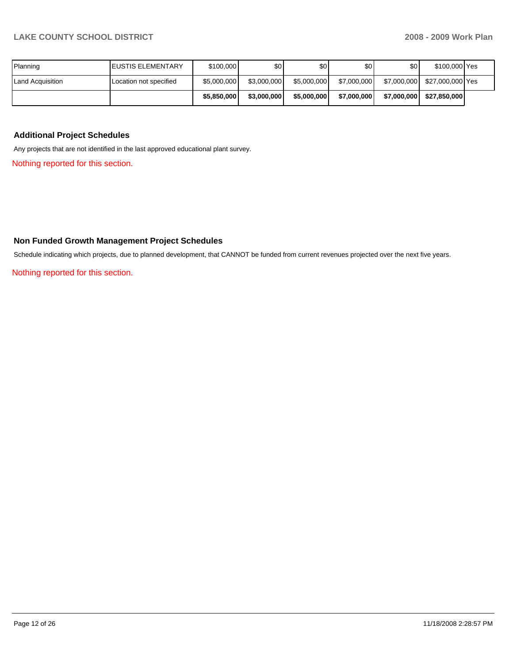| Planning         | <b>I</b> EUSTIS ELEMENTARY | \$100,000   | \$0         | \$0         | \$0         | \$0 <sub>1</sub> | \$100,000 Yes    |  |
|------------------|----------------------------|-------------|-------------|-------------|-------------|------------------|------------------|--|
| Land Acquisition | Location not specified     | \$5,000,000 | \$3,000,000 | \$5,000,000 | \$7,000,000 | \$7,000,000      | \$27.000.000 Yes |  |
|                  |                            | \$5,850,000 | \$3,000,000 | \$5,000,000 | \$7,000,000 | \$7,000,000      | \$27.850.000     |  |

### **Additional Project Schedules**

Any projects that are not identified in the last approved educational plant survey.

Nothing reported for this section.

## **Non Funded Growth Management Project Schedules**

Schedule indicating which projects, due to planned development, that CANNOT be funded from current revenues projected over the next five years.

Nothing reported for this section.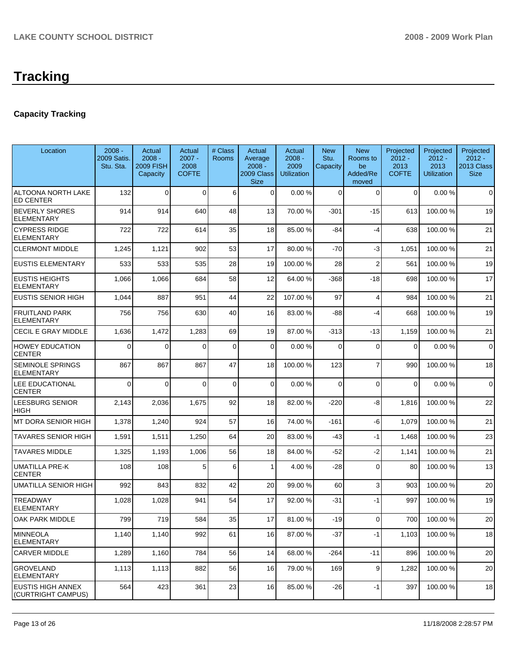# **Capacity Tracking**

| Location                                       | $2008 -$<br>2009 Satis.<br>Stu. Sta. | Actual<br>$2008 -$<br><b>2009 FISH</b><br>Capacity | Actual<br>$2007 -$<br>2008<br><b>COFTE</b> | # Class<br><b>Rooms</b> | Actual<br>Average<br>$2008 -$<br>2009 Class<br><b>Size</b> | Actual<br>$2008 -$<br>2009<br><b>Utilization</b> | <b>New</b><br>Stu.<br>Capacity | <b>New</b><br>Rooms to<br>be<br>Added/Re<br>moved | Projected<br>$2012 -$<br>2013<br><b>COFTE</b> | Projected<br>$2012 -$<br>2013<br><b>Utilization</b> | Projected<br>$2012 -$<br>2013 Class<br><b>Size</b> |
|------------------------------------------------|--------------------------------------|----------------------------------------------------|--------------------------------------------|-------------------------|------------------------------------------------------------|--------------------------------------------------|--------------------------------|---------------------------------------------------|-----------------------------------------------|-----------------------------------------------------|----------------------------------------------------|
| ALTOONA NORTH LAKE<br><b>ED CENTER</b>         | 132                                  | 0                                                  | $\Omega$                                   | 6                       | $\overline{0}$                                             | 0.00%                                            | $\Omega$                       | $\Omega$                                          | $\overline{0}$                                | 0.00%                                               | $\Omega$                                           |
| <b>BEVERLY SHORES</b><br>ELEMENTARY            | 914                                  | 914                                                | 640                                        | 48                      | 13                                                         | 70.00 %                                          | $-301$                         | $-15$                                             | 613                                           | 100.00 %                                            | 19                                                 |
| <b>CYPRESS RIDGE</b><br><b>ELEMENTARY</b>      | 722                                  | 722                                                | 614                                        | 35                      | 18                                                         | 85.00 %                                          | $-84$                          | $-4$                                              | 638                                           | 100.00 %                                            | 21                                                 |
| <b>CLERMONT MIDDLE</b>                         | 1,245                                | 1,121                                              | 902                                        | 53                      | 17                                                         | 80.00 %                                          | -70                            | $-3$                                              | 1,051                                         | 100.00 %                                            | 21                                                 |
| <b>EUSTIS ELEMENTARY</b>                       | 533                                  | 533                                                | 535                                        | 28                      | 19                                                         | 100.00 %                                         | 28                             | $\overline{2}$                                    | 561                                           | 100.00%                                             | 19                                                 |
| <b>EUSTIS HEIGHTS</b><br><b>ELEMENTARY</b>     | 1,066                                | 1,066                                              | 684                                        | 58                      | 12                                                         | 64.00 %                                          | -368                           | -18                                               | 698                                           | 100.00 %                                            | 17                                                 |
| <b>EUSTIS SENIOR HIGH</b>                      | 1,044                                | 887                                                | 951                                        | 44                      | 22                                                         | 107.00 %                                         | 97                             | $\overline{4}$                                    | 984                                           | 100.00 %                                            | 21                                                 |
| <b>FRUITLAND PARK</b><br><b>ELEMENTARY</b>     | 756                                  | 756                                                | 630                                        | 40                      | 16                                                         | 83.00 %                                          | -88                            | -4                                                | 668                                           | 100.00 %                                            | 19                                                 |
| CECIL E GRAY MIDDLE                            | 1,636                                | 1,472                                              | 1,283                                      | 69                      | 19                                                         | 87.00 %                                          | $-313$                         | -13                                               | 1,159                                         | 100.00%                                             | 21                                                 |
| <b>HOWEY EDUCATION</b><br><b>CENTER</b>        | 0                                    | $\Omega$                                           | $\Omega$                                   | 0                       | $\Omega$                                                   | 0.00%                                            | $\Omega$                       | $\Omega$                                          | $\overline{0}$                                | 0.00%                                               | $\mathbf 0$                                        |
| SEMINOLE SPRINGS<br>ELEMENTARY                 | 867                                  | 867                                                | 867                                        | 47                      | 18                                                         | 100.00 %                                         | 123                            | 7                                                 | 990                                           | 100.00 %                                            | 18                                                 |
| LEE EDUCATIONAL<br><b>CENTER</b>               | $\Omega$                             | $\Omega$                                           | $\Omega$                                   | 0                       | $\Omega$                                                   | 0.00%                                            | $\Omega$                       | $\Omega$                                          | $\mathbf 0$                                   | 0.00%                                               | $\mathbf 0$                                        |
| LEESBURG SENIOR<br>HIGH                        | 2,143                                | 2,036                                              | 1,675                                      | 92                      | 18                                                         | 82.00 %                                          | $-220$                         | -8                                                | 1,816                                         | 100.00 %                                            | 22                                                 |
| MT DORA SENIOR HIGH                            | 1,378                                | 1,240                                              | 924                                        | 57                      | 16                                                         | 74.00 %                                          | $-161$                         | -6                                                | 1,079                                         | 100.00%                                             | 21                                                 |
| TAVARES SENIOR HIGH                            | 1,591                                | 1,511                                              | 1,250                                      | 64                      | 20                                                         | 83.00 %                                          | -43                            | -1                                                | 1,468                                         | 100.00 %                                            | 23                                                 |
| <b>TAVARES MIDDLE</b>                          | 1,325                                | 1,193                                              | 1,006                                      | 56                      | 18                                                         | 84.00 %                                          | $-52$                          | $-2$                                              | 1,141                                         | 100.00%                                             | 21                                                 |
| UMATILLA PRE-K<br><b>CENTER</b>                | 108                                  | 108                                                | 5                                          | 6                       | $\mathbf{1}$                                               | 4.00 %                                           | $-28$                          | $\Omega$                                          | 80                                            | 100.00 %                                            | 13                                                 |
| UMATILLA SENIOR HIGH                           | 992                                  | 843                                                | 832                                        | 42                      | 20                                                         | 99.00 %                                          | 60                             | 3                                                 | 903                                           | 100.00 %                                            | 20                                                 |
| <b>TREADWAY</b><br>ELEMENTARY                  | 1,028                                | 1,028                                              | 941                                        | 54                      | 17                                                         | 92.00 %                                          | -31                            | -1                                                | 997                                           | 100.00 %                                            | 19                                                 |
| OAK PARK MIDDLE                                | 799                                  | 719                                                | 584                                        | 35                      | 17                                                         | 81.00%                                           | $-19$                          | 0                                                 | 700                                           | 100.00%                                             | 20                                                 |
| <b>MINNEOLA</b><br><b>ELEMENTARY</b>           | 1,140                                | 1,140                                              | 992                                        | 61                      | 16                                                         | 87.00 %                                          | $-37$                          | $-1$                                              | 1,103                                         | 100.00 %                                            | 18                                                 |
| <b>CARVER MIDDLE</b>                           | 1,289                                | 1,160                                              | 784                                        | 56                      | 14                                                         | 68.00 %                                          | $-264$                         | -11                                               | 896                                           | 100.00 %                                            | 20                                                 |
| <b>GROVELAND</b><br><b>ELEMENTARY</b>          | 1,113                                | 1,113                                              | 882                                        | 56                      | 16                                                         | 79.00 %                                          | 169                            | 9                                                 | 1,282                                         | 100.00 %                                            | 20                                                 |
| <b>EUSTIS HIGH ANNEX</b><br>(CURTRIGHT CAMPUS) | 564                                  | 423                                                | 361                                        | 23                      | 16                                                         | 85.00 %                                          | $-26$                          | -1                                                | 397                                           | 100.00%                                             | 18                                                 |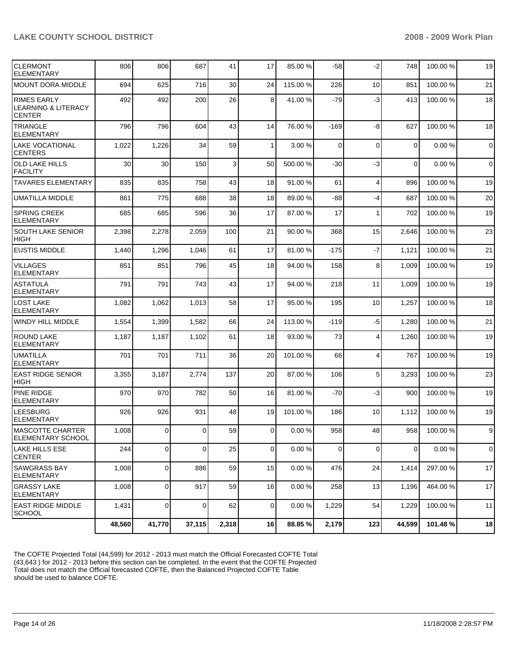| <b>CLERMONT</b><br><b>ELEMENTARY</b>                                  | 806    | 806            | 687            | 41    | 17             | 85.00 %  | $-58$       | $-2$           | 748         | 100.00 % | 19          |
|-----------------------------------------------------------------------|--------|----------------|----------------|-------|----------------|----------|-------------|----------------|-------------|----------|-------------|
| <b>MOUNT DORA MIDDLE</b>                                              | 694    | 625            | 716            | 30    | 24             | 115.00 % | 226         | 10             | 851         | 100.00%  | 21          |
| <b>RIMES EARLY</b><br><b>LEARNING &amp; LITERACY</b><br><b>CENTER</b> | 492    | 492            | 200            | 26    | 8              | 41.00 %  | $-79$       | $-3$           | 413         | 100.00%  | 18          |
| <b>TRIANGLE</b><br><b>ELEMENTARY</b>                                  | 796    | 796            | 604            | 43    | 14             | 76.00 %  | $-169$      | -8             | 627         | 100.00 % | 18          |
| <b>LAKE VOCATIONAL</b><br><b>CENTERS</b>                              | 1,022  | 1,226          | 34             | 59    | $\mathbf{1}$   | 3.00 %   | $\Omega$    | $\Omega$       | $\mathbf 0$ | 0.00%    | $\mathbf 0$ |
| <b>OLD LAKE HILLS</b><br>FACILITY                                     | 30     | 30             | 150            | 3     | 50             | 500.00 % | -30         | $-3$           | 0           | 0.00%    | $\mathbf 0$ |
| <b>TAVARES ELEMENTARY</b>                                             | 835    | 835            | 758            | 43    | 18             | 91.00 %  | 61          | $\overline{4}$ | 896         | 100.00 % | 19          |
| <b>UMATILLA MIDDLE</b>                                                | 861    | 775            | 688            | 38    | 18             | 89.00 %  | $-88$       | $-4$           | 687         | 100.00%  | 20          |
| <b>SPRING CREEK</b><br><b>ELEMENTARY</b>                              | 685    | 685            | 596            | 36    | 17             | 87.00 %  | 17          | 1              | 702         | 100.00 % | 19          |
| <b>SOUTH LAKE SENIOR</b><br><b>HIGH</b>                               | 2,398  | 2,278          | 2,059          | 100   | 21             | 90.00 %  | 368         | 15             | 2,646       | 100.00%  | 23          |
| <b>EUSTIS MIDDLE</b>                                                  | 1,440  | 1,296          | 1,046          | 61    | 17             | 81.00 %  | $-175$      | $-7$           | 1,121       | 100.00%  | 21          |
| <b>VILLAGES</b><br><b>ELEMENTARY</b>                                  | 851    | 851            | 796            | 45    | 18             | 94.00 %  | 158         | 8              | 1,009       | 100.00%  | 19          |
| <b>ASTATULA</b><br><b>ELEMENTARY</b>                                  | 791    | 791            | 743            | 43    | 17             | 94.00 %  | 218         | 11             | 1,009       | 100.00 % | 19          |
| <b>LOST LAKE</b><br><b>ELEMENTARY</b>                                 | 1,082  | 1,062          | 1,013          | 58    | 17             | 95.00 %  | 195         | 10             | 1,257       | 100.00 % | 18          |
| WINDY HILL MIDDLE                                                     | 1,554  | 1,399          | 1,582          | 66    | 24             | 113.00 % | -119        | -5             | 1,280       | 100.00 % | 21          |
| <b>ROUND LAKE</b><br><b>ELEMENTARY</b>                                | 1,187  | 1,187          | 1,102          | 61    | 18             | 93.00 %  | 73          | $\overline{4}$ | 1,260       | 100.00 % | 19          |
| <b>UMATILLA</b><br><b>ELEMENTARY</b>                                  | 701    | 701            | 711            | 36    | 20             | 101.00 % | 66          | $\overline{4}$ | 767         | 100.00%  | 19          |
| <b>EAST RIDGE SENIOR</b><br><b>HIGH</b>                               | 3,355  | 3,187          | 2,774          | 137   | 20             | 87.00 %  | 106         | 5              | 3,293       | 100.00 % | 23          |
| <b>PINE RIDGE</b><br><b>ELEMENTARY</b>                                | 970    | 970            | 782            | 50    | 16             | 81.00 %  | $-70$       | $-3$           | 900         | 100.00%  | 19          |
| <b>LEESBURG</b><br><b>ELEMENTARY</b>                                  | 926    | 926            | 931            | 48    | 19             | 101.00 % | 186         | 10             | 1,112       | 100.00%  | 19          |
| <b>MASCOTTE CHARTER</b><br><b>ELEMENTARY SCHOOL</b>                   | 1,008  | $\overline{0}$ | $\mathbf 0$    | 59    | $\overline{0}$ | 0.00%    | 958         | 48             | 958         | 100.00%  | 9           |
| LAKE HILLS ESE<br><b>CENTER</b>                                       | 244    | $\overline{0}$ | $\overline{0}$ | 25    | $\mathbf 0$    | 0.00%    | $\mathbf 0$ | $\mathbf 0$    | $\mathbf 0$ | 0.00%    | $\mathbf 0$ |
| <b>SAWGRASS BAY</b><br><b>ELEMENTARY</b>                              | 1,008  | 0              | 886            | 59    | 15             | 0.00%    | 476         | 24             | 1,414       | 297.00 % | 17          |
| <b>GRASSY LAKE</b><br>ELEMENTARY                                      | 1,008  | $\mathbf 0$    | 917            | 59    | 16             | 0.00%    | 258         | 13             | 1,196       | 464.00 % | 17          |
| <b>EAST RIDGE MIDDLE</b><br>SCHOOL                                    | 1,431  | 0              | 0              | 62    | $\overline{0}$ | 0.00%    | 1,229       | 54             | 1,229       | 100.00 % | 11          |
|                                                                       | 48,560 | 41,770         | 37,115         | 2,318 | 16             | 88.85 %  | 2,179       | 123            | 44.599      | 101.48%  | 18          |

The COFTE Projected Total (44,599) for 2012 - 2013 must match the Official Forecasted COFTE Total (43,643 ) for 2012 - 2013 before this section can be completed. In the event that the COFTE Projected Total does not match the Official forecasted COFTE, then the Balanced Projected COFTE Table should be used to balance COFTE.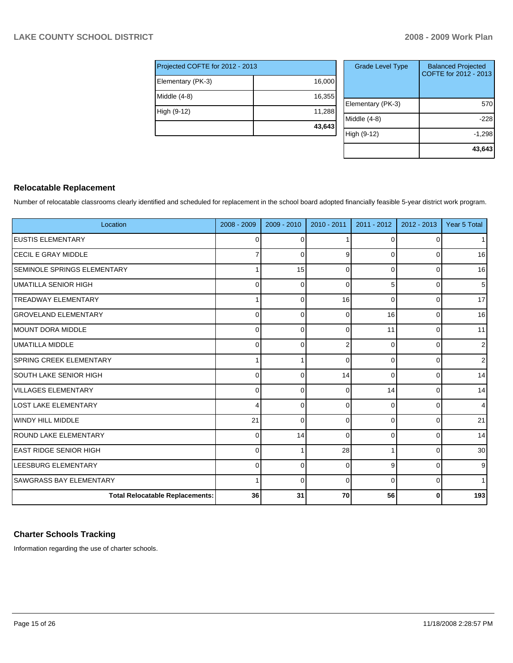| Projected COFTE for 2012 - 2013 |        |  |  |  |  |
|---------------------------------|--------|--|--|--|--|
| Elementary (PK-3)               | 16,000 |  |  |  |  |
| Middle (4-8)                    | 16,355 |  |  |  |  |
| High (9-12)                     | 11,288 |  |  |  |  |
|                                 | 43,643 |  |  |  |  |

| <b>Grade Level Type</b> | <b>Balanced Projected</b><br>COFTE for 2012 - 2013 |
|-------------------------|----------------------------------------------------|
| Elementary (PK-3)       | 570                                                |
| Middle (4-8)            | -228                                               |
| High (9-12)             | $-1,298$                                           |
|                         | 43,643                                             |

# **Relocatable Replacement**

Number of relocatable classrooms clearly identified and scheduled for replacement in the school board adopted financially feasible 5-year district work program.

| Location                               | 2008 - 2009    | 2009 - 2010 | $2010 - 2011$ | 2011 - 2012 | $2012 - 2013$ | Year 5 Total   |
|----------------------------------------|----------------|-------------|---------------|-------------|---------------|----------------|
| <b>EUSTIS ELEMENTARY</b>               | 0              | ∩           |               | 0           | ∩             | 1 <sup>1</sup> |
| <b>ICECIL E GRAY MIDDLE</b>            | 7              | ∩           | 9             | 0           | 0             | 16             |
| <b>SEMINOLE SPRINGS ELEMENTARY</b>     | 1              | 15          | 0             | 0           | 0             | 16             |
| UMATILLA SENIOR HIGH                   | 0              | ſ           | $\Omega$      | 5           | 0             | 5 <sup>1</sup> |
| <b>TREADWAY ELEMENTARY</b>             | 1              | C           | 16            | $\Omega$    | $\Omega$      | 17             |
| <b>GROVELAND ELEMENTARY</b>            | $\mathbf 0$    | ſ           | $\Omega$      | 16          | $\Omega$      | 16             |
| MOUNT DORA MIDDLE                      | $\mathbf 0$    | ſ           | $\Omega$      | 11          | $\Omega$      | 11             |
| <b>UMATILLA MIDDLE</b>                 | $\mathbf 0$    | ſ           | $\mathcal{P}$ | $\Omega$    | <sup>0</sup>  | $\overline{2}$ |
| <b>SPRING CREEK ELEMENTARY</b>         | 1              |             | $\Omega$      | $\Omega$    | ∩             | $\overline{2}$ |
| <b>SOUTH LAKE SENIOR HIGH</b>          | $\overline{0}$ | $\Omega$    | 14            | $\Omega$    | <sup>0</sup>  | 14             |
| <b>VILLAGES ELEMENTARY</b>             | 0              | $\Omega$    | $\Omega$      | 14          | $\Omega$      | 14             |
| <b>LOST LAKE ELEMENTARY</b>            | 4              | $\Omega$    | $\Omega$      | $\Omega$    | $\Omega$      | $\overline{4}$ |
| WINDY HILL MIDDLE                      | 21             | $\Omega$    | $\Omega$      | $\Omega$    | $\Omega$      | 21             |
| ROUND LAKE ELEMENTARY                  | $\mathbf 0$    | 14          | $\Omega$      | $\Omega$    | $\Omega$      | 14             |
| <b>EAST RIDGE SENIOR HIGH</b>          | $\mathbf 0$    |             | 28            |             | $\Omega$      | 30             |
| LEESBURG ELEMENTARY                    | $\mathbf 0$    | C           | $\Omega$      | 9           | $\Omega$      | 9 <sub>l</sub> |
| <b>SAWGRASS BAY ELEMENTARY</b>         | 1              | $\Omega$    | $\Omega$      | $\Omega$    | $\Omega$      | 1 <sup>1</sup> |
| <b>Total Relocatable Replacements:</b> | 36             | 31          | 70            | 56          | 0             | 193            |

# **Charter Schools Tracking**

Information regarding the use of charter schools.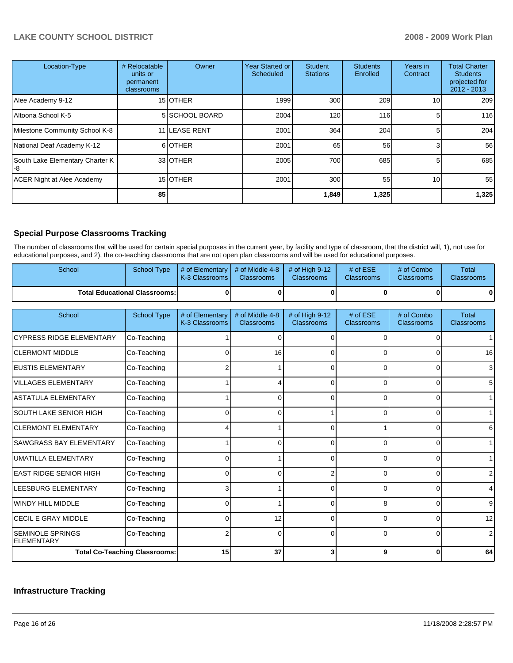| Location-Type                         | # Relocatable<br>units or<br>permanent<br><b>classrooms</b> | Owner           | <b>Year Started or</b><br><b>Scheduled</b> | <b>Student</b><br><b>Stations</b> | <b>Students</b><br>Enrolled | Years in<br>Contract | <b>Total Charter</b><br><b>Students</b><br>projected for<br>$2012 - 2013$ |
|---------------------------------------|-------------------------------------------------------------|-----------------|--------------------------------------------|-----------------------------------|-----------------------------|----------------------|---------------------------------------------------------------------------|
| Alee Academy 9-12                     |                                                             | 15 <b>OTHER</b> | 1999                                       | 300                               | 209                         | 10                   | 209                                                                       |
| Altoona School K-5                    |                                                             | 5 SCHOOL BOARD  | 2004                                       | 120                               | 116                         | 5                    | 116                                                                       |
| Milestone Community School K-8        |                                                             | 11 LEASE RENT   | 2001                                       | 364                               | 204                         | 5                    | 204                                                                       |
| National Deaf Academy K-12            |                                                             | 6OTHER          | 2001                                       | 65                                | 56                          | 3                    | 56                                                                        |
| South Lake Elementary Charter K<br>-8 |                                                             | 33 OTHER        | 2005                                       | 700                               | 685                         | 5.                   | 685                                                                       |
| <b>ACER Night at Alee Academy</b>     |                                                             | 15 OTHER        | 2001                                       | 300                               | 55                          | 10                   | 55                                                                        |
|                                       | 85                                                          |                 |                                            | 1,849                             | 1,325                       |                      | 1,325                                                                     |

# **Special Purpose Classrooms Tracking**

The number of classrooms that will be used for certain special purposes in the current year, by facility and type of classroom, that the district will, 1), not use for educational purposes, and 2), the co-teaching classrooms that are not open plan classrooms and will be used for educational purposes.

| School                                        | <b>School Type</b>                   | # of Elementary<br>K-3 Classrooms | # of Middle 4-8<br><b>Classrooms</b> | # of High 9-12<br>Classrooms        | # of ESE<br>Classrooms        | # of Combo<br>Classrooms        | <b>Total</b><br>Classrooms        |
|-----------------------------------------------|--------------------------------------|-----------------------------------|--------------------------------------|-------------------------------------|-------------------------------|---------------------------------|-----------------------------------|
| <b>Total Educational Classrooms:</b>          |                                      | 0                                 | 0                                    | $\bf{0}$                            | $\bf{0}$                      |                                 | 0                                 |
| School                                        | <b>School Type</b>                   | # of Elementary<br>K-3 Classrooms | # of Middle 4-8<br><b>Classrooms</b> | # of High 9-12<br><b>Classrooms</b> | # of ESE<br><b>Classrooms</b> | # of Combo<br><b>Classrooms</b> | <b>Total</b><br><b>Classrooms</b> |
| <b>CYPRESS RIDGE ELEMENTARY</b>               | Co-Teaching                          |                                   | C                                    | ∩                                   | <sup>0</sup>                  |                                 | 1.                                |
| <b>CLERMONT MIDDLE</b>                        | Co-Teaching                          | 0                                 | 16                                   | 0                                   | 0                             |                                 | 16                                |
| <b>EUSTIS ELEMENTARY</b>                      | Co-Teaching                          | 2                                 |                                      | 0                                   | $\Omega$                      |                                 | 3 <sup>1</sup>                    |
| <b>VILLAGES ELEMENTARY</b>                    | Co-Teaching                          |                                   |                                      | 0                                   | $\Omega$                      | 0                               | 5 <sub>5</sub>                    |
| <b>ASTATULA ELEMENTARY</b>                    | Co-Teaching                          |                                   | 0                                    | 0                                   | 0                             | 0                               | 1                                 |
| ISOUTH LAKE SENIOR HIGH                       | Co-Teaching                          | 0                                 | 0                                    |                                     | 0                             |                                 | 1 <sup>1</sup>                    |
| ICLERMONT ELEMENTARY                          | Co-Teaching                          |                                   |                                      | n                                   |                               |                                 | $6 \mid$                          |
| SAWGRASS BAY ELEMENTARY                       | Co-Teaching                          |                                   | ∩                                    | n                                   | $\Omega$                      |                                 | 1                                 |
| <b>UMATILLA ELEMENTARY</b>                    | Co-Teaching                          | 0                                 |                                      | $\Omega$                            | $\Omega$                      | $\Omega$                        | 1                                 |
| <b>EAST RIDGE SENIOR HIGH</b>                 | Co-Teaching                          | 0                                 | n                                    | 2                                   | 0                             | $\Omega$                        | 2                                 |
| LEESBURG ELEMENTARY                           | Co-Teaching                          | 3                                 |                                      | $\Omega$                            | $\Omega$                      | $\Omega$                        | $\vert 4 \vert$                   |
| <b>WINDY HILL MIDDLE</b>                      | Co-Teaching                          | $\Omega$                          |                                      | 0                                   | 8                             | U                               | 9 <sub>l</sub>                    |
| CECIL E GRAY MIDDLE                           | Co-Teaching                          | 0                                 | 12                                   | $\Omega$                            | $\Omega$                      | 0                               | 12                                |
| <b>ISEMINOLE SPRINGS</b><br><b>ELEMENTARY</b> | Co-Teaching                          | 2                                 | $\Omega$                             | 0                                   | 0                             | 0                               | 2                                 |
|                                               | <b>Total Co-Teaching Classrooms:</b> | 15                                | 37                                   | 3                                   | 9                             | 0                               | 64                                |

# **Infrastructure Tracking**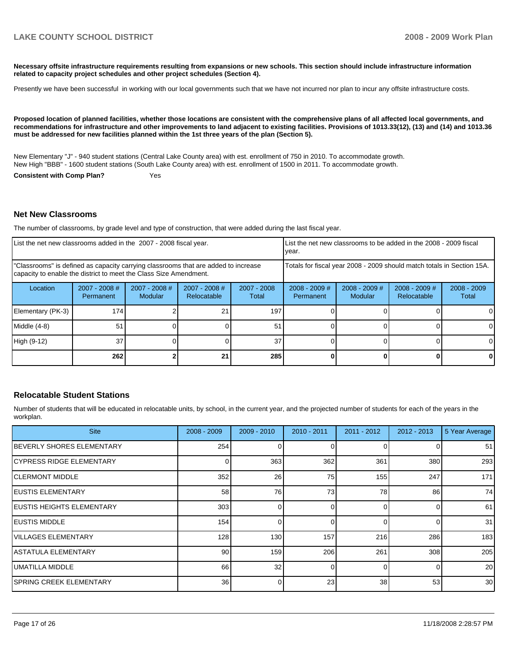**Necessary offsite infrastructure requirements resulting from expansions or new schools. This section should include infrastructure information related to capacity project schedules and other project schedules (Section 4).** 

Presently we have been successful in working with our local governments such that we have not incurred nor plan to incur any offsite infrastructure costs.

**Proposed location of planned facilities, whether those locations are consistent with the comprehensive plans of all affected local governments, and recommendations for infrastructure and other improvements to land adjacent to existing facilities. Provisions of 1013.33(12), (13) and (14) and 1013.36 must be addressed for new facilities planned within the 1st three years of the plan (Section 5).** 

New Elementary "J" - 940 student stations (Central Lake County area) with est. enrollment of 750 in 2010. To accommodate growth. New High "BBB" - 1600 student stations (South Lake County area) with est. enrollment of 1500 in 2011. To accommodate growth.

**Consistent with Comp Plan?** Yes

#### **Net New Classrooms**

The number of classrooms, by grade level and type of construction, that were added during the last fiscal year.

| List the net new classrooms added in the 2007 - 2008 fiscal year.                                                                                       |                                     |                          |                                                                        |                      | List the net new classrooms to be added in the 2008 - 2009 fiscal<br>year. |                            |                                |                        |
|---------------------------------------------------------------------------------------------------------------------------------------------------------|-------------------------------------|--------------------------|------------------------------------------------------------------------|----------------------|----------------------------------------------------------------------------|----------------------------|--------------------------------|------------------------|
| "Classrooms" is defined as capacity carrying classrooms that are added to increase<br>capacity to enable the district to meet the Class Size Amendment. |                                     |                          | Totals for fiscal year 2008 - 2009 should match totals in Section 15A. |                      |                                                                            |                            |                                |                        |
| Location                                                                                                                                                | $2007 - 2008$ #<br><b>Permanent</b> | 2007 - 2008 #<br>Modular | $2007 - 2008$ #<br>Relocatable                                         | 2007 - 2008<br>Total | $2008 - 2009$ #<br>Permanent                                               | $2008 - 2009$ #<br>Modular | $2008 - 2009$ #<br>Relocatable | $2008 - 2009$<br>Total |
| Elementary (PK-3)                                                                                                                                       | 174                                 |                          |                                                                        | 197                  |                                                                            |                            |                                |                        |
| $Middle (4-8)$                                                                                                                                          | 51                                  |                          |                                                                        | 51                   |                                                                            |                            |                                | 0                      |
| High (9-12)                                                                                                                                             | 37                                  |                          |                                                                        | 37                   |                                                                            |                            |                                |                        |
|                                                                                                                                                         | <b>2621</b>                         |                          | 21                                                                     | 285                  |                                                                            |                            |                                |                        |

#### **Relocatable Student Stations**

Number of students that will be educated in relocatable units, by school, in the current year, and the projected number of students for each of the years in the workplan.

| <b>Site</b>                       | $2008 - 2009$   | $2009 - 2010$ | $2010 - 2011$ | $2011 - 2012$ | $2012 - 2013$ | 5 Year Average  |
|-----------------------------------|-----------------|---------------|---------------|---------------|---------------|-----------------|
| <b>IBEVERLY SHORES ELEMENTARY</b> | 254             |               |               | 0             |               | 51              |
| ICYPRESS RIDGE ELEMENTARY         |                 | 363           | 362           | 361           | 380           | 293             |
| ICLERMONT MIDDLE                  | 352             | 26            | 75            | 155           | 247           | 171             |
| <b>IEUSTIS ELEMENTARY</b>         | 58              | 76            | 73            | 78            | 86            | 74              |
| <b>IEUSTIS HEIGHTS ELEMENTARY</b> | 303             |               |               | $\Omega$      |               | 61              |
| <b>IEUSTIS MIDDLE</b>             | 154             |               | 0             | $\Omega$      |               | 31              |
| IVILLAGES ELEMENTARY              | 128             | 130           | 157           | 216           | 286           | 183             |
| IASTATULA ELEMENTARY              | 90              | 159           | 206           | 261           | 308           | 205             |
| IUMATILLA MIDDLE                  | 66              | 32            | ∩             | $\Omega$      |               | 20              |
| ISPRING CREEK ELEMENTARY          | 36 <sup>1</sup> |               | 23            | 38            | 53            | 30 <sup>1</sup> |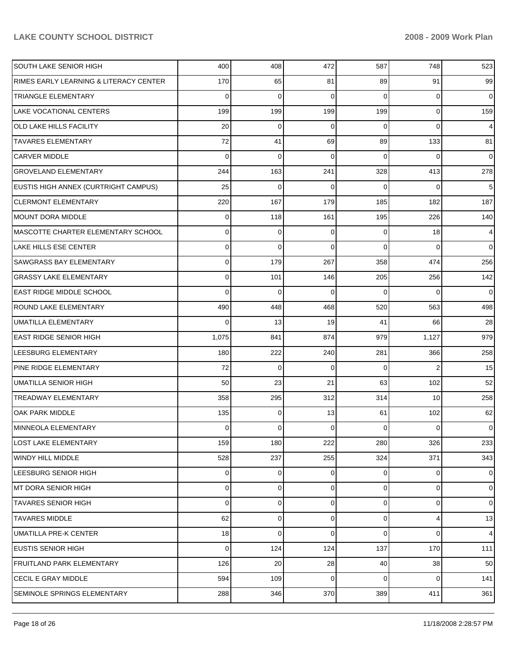| SOUTH LAKE SENIOR HIGH                 | 400   | 408 | 472         | 587      | 748            | 523            |
|----------------------------------------|-------|-----|-------------|----------|----------------|----------------|
| RIMES EARLY LEARNING & LITERACY CENTER | 170   | 65  | 81          | 89       | 91             | 99             |
| <b>TRIANGLE ELEMENTARY</b>             | 0     | 0   | $\Omega$    | 0        | 0              | $\overline{0}$ |
| LAKE VOCATIONAL CENTERS                | 199   | 199 | 199         | 199      | $\overline{0}$ | 159            |
| <b>OLD LAKE HILLS FACILITY</b>         | 20    | 0   | $\Omega$    | 0        | 0              | $\overline{4}$ |
| <b>TAVARES ELEMENTARY</b>              | 72    | 41  | 69          | 89       | 133            | 81             |
| <b>CARVER MIDDLE</b>                   | 0     | 0   | $\Omega$    | 0        | 0              | $\overline{0}$ |
| <b>GROVELAND ELEMENTARY</b>            | 244   | 163 | 241         | 328      | 413            | 278            |
| EUSTIS HIGH ANNEX (CURTRIGHT CAMPUS)   | 25    | 0   | $\Omega$    | $\Omega$ | 0              | 5              |
| <b>CLERMONT ELEMENTARY</b>             | 220   | 167 | 179         | 185      | 182            | 187            |
| <b>MOUNT DORA MIDDLE</b>               | 0     | 118 | 161         | 195      | 226            | 140            |
| MASCOTTE CHARTER ELEMENTARY SCHOOL     | 0     | 0   | $\mathbf 0$ | 0        | 18             | $\overline{4}$ |
| <b>LAKE HILLS ESE CENTER</b>           | 0     | 0   | $\Omega$    | 0        | $\Omega$       | $\overline{0}$ |
| SAWGRASS BAY ELEMENTARY                | 0     | 179 | 267         | 358      | 474            | 256            |
| <b>GRASSY LAKE ELEMENTARY</b>          | 0     | 101 | 146         | 205      | 256            | 142            |
| <b>EAST RIDGE MIDDLE SCHOOL</b>        | 0     | 0   | $\Omega$    | 0        | $\Omega$       | $\overline{0}$ |
| ROUND LAKE ELEMENTARY                  | 490   | 448 | 468         | 520      | 563            | 498            |
| UMATILLA ELEMENTARY                    | 0     | 13  | 19          | 41       | 66             | 28             |
| <b>EAST RIDGE SENIOR HIGH</b>          | 1,075 | 841 | 874         | 979      | 1,127          | 979            |
| LEESBURG ELEMENTARY                    | 180   | 222 | 240         | 281      | 366            | 258            |
| PINE RIDGE ELEMENTARY                  | 72    | 0   | $\Omega$    | 0        | 2              | 15             |
| <b>UMATILLA SENIOR HIGH</b>            | 50    | 23  | 21          | 63       | 102            | 52             |
| TREADWAY ELEMENTARY                    | 358   | 295 | 312         | 314      | 10             | 258            |
| OAK PARK MIDDLE                        | 135   | 0   | 13          | 61       | 102            | 62             |
| MINNEOLA ELEMENTARY                    | 0     | 0   | $\Omega$    | 0        | 0              | $\overline{0}$ |
| LOST LAKE ELEMENTARY                   | 159   | 180 | 222         | 280      | 326            | 233            |
| WINDY HILL MIDDLE                      | 528   | 237 | 255         | 324      | 371            | 343            |
| LEESBURG SENIOR HIGH                   | 0     | 0   | 0           | 0        | 0              | $\overline{0}$ |
| MT DORA SENIOR HIGH                    | 0     | 0   | 0           | 0        | $\overline{0}$ | $\overline{0}$ |
| <b>TAVARES SENIOR HIGH</b>             | 0     | 0   | 0           | 0        | 0              | $\mathbf 0$    |
| <b>TAVARES MIDDLE</b>                  | 62    | 0   | 0           | 0        | 4              | 13             |
| UMATILLA PRE-K CENTER                  | 18    | 0   | 0           | 0        | 0              | $\overline{4}$ |
| EUSTIS SENIOR HIGH                     | 0     | 124 | 124         | 137      | 170            | 111            |
| FRUITLAND PARK ELEMENTARY              | 126   | 20  | 28          | 40       | 38             | 50             |
| <b>CECIL E GRAY MIDDLE</b>             | 594   | 109 | 0           | 0        | $\overline{0}$ | 141            |
| SEMINOLE SPRINGS ELEMENTARY            | 288   | 346 | 370         | 389      | 411            | 361            |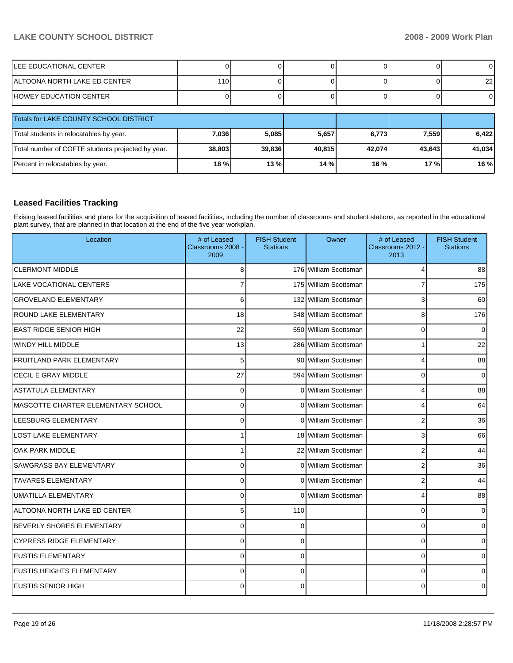| ILEE EDUCATIONAL CENTER      |     |  |  |  |  |      |
|------------------------------|-----|--|--|--|--|------|
| ALTOONA NORTH LAKE ED CENTER | 110 |  |  |  |  | 22 I |
| IHOWEY EDUCATION CENTER      |     |  |  |  |  |      |
|                              |     |  |  |  |  |      |

| Totals for LAKE COUNTY SCHOOL DISTRICT            |         |        |        |        |         |        |
|---------------------------------------------------|---------|--------|--------|--------|---------|--------|
| Total students in relocatables by year.           | 7,036   | 5.085  | 5,657  | 6,773  | 7.559   | 6.422  |
| Total number of COFTE students projected by year. | 38,803  | 39.836 | 40.815 | 42.074 | 43.643  | 41,034 |
| Percent in relocatables by year.                  | $18 \%$ | 13%    | 14 %   | 16%    | $17 \%$ | 16 %   |

# **Leased Facilities Tracking**

Exising leased facilities and plans for the acquisition of leased facilities, including the number of classrooms and student stations, as reported in the educational plant survey, that are planned in that location at the end of the five year workplan.

| Location                           | # of Leased<br>Classrooms 2008 -<br>2009 | <b>FISH Student</b><br><b>Stations</b> | Owner                    | # of Leased<br>Classrooms 2012 -<br>2013 | <b>FISH Student</b><br><b>Stations</b> |
|------------------------------------|------------------------------------------|----------------------------------------|--------------------------|------------------------------------------|----------------------------------------|
| <b>CLERMONT MIDDLE</b>             | 8                                        |                                        | 176 William Scottsman    | 4                                        | 88                                     |
| <b>LAKE VOCATIONAL CENTERS</b>     | $\overline{7}$                           |                                        | 175 William Scottsman    | $\overline{7}$                           | 175                                    |
| <b>GROVELAND ELEMENTARY</b>        | 6                                        |                                        | 132 William Scottsman    | 3                                        | 60                                     |
| <b>ROUND LAKE ELEMENTARY</b>       | 18                                       |                                        | 348 William Scottsman    | 8                                        | 176                                    |
| <b>EAST RIDGE SENIOR HIGH</b>      | 22                                       |                                        | 550 William Scottsman    | $\mathbf 0$                              | $\mathbf 0$                            |
| <b>WINDY HILL MIDDLE</b>           | 13                                       |                                        | 286 William Scottsman    | 1                                        | 22                                     |
| <b>FRUITLAND PARK ELEMENTARY</b>   | 5                                        |                                        | 90 William Scottsman     | 4                                        | 88                                     |
| <b>CECIL E GRAY MIDDLE</b>         | 27                                       |                                        | 594 William Scottsman    | 0                                        | $\Omega$                               |
| <b>ASTATULA ELEMENTARY</b>         | 0                                        |                                        | 0 William Scottsman      | 4                                        | 88                                     |
| MASCOTTE CHARTER ELEMENTARY SCHOOL | 0                                        |                                        | 0 William Scottsman      | 4                                        | 64                                     |
| LEESBURG ELEMENTARY                | 0                                        |                                        | 0 William Scottsman      | $\overline{2}$                           | 36                                     |
| <b>LOST LAKE ELEMENTARY</b>        | 1                                        |                                        | 18 William Scottsman     | 3                                        | 66                                     |
| <b>OAK PARK MIDDLE</b>             | 1                                        |                                        | 22 William Scottsman     | $\overline{2}$                           | 44                                     |
| SAWGRASS BAY ELEMENTARY            | 0                                        |                                        | 0 William Scottsman      | $\boldsymbol{2}$                         | 36                                     |
| <b>TAVARES ELEMENTARY</b>          | $\Omega$                                 |                                        | 0 William Scottsman      | $\overline{2}$                           | 44                                     |
| UMATILLA ELEMENTARY                | $\Omega$                                 | $\Omega$                               | <b>William Scottsman</b> | 4                                        | 88                                     |
| ALTOONA NORTH LAKE ED CENTER       | 5                                        | 110                                    |                          | 0                                        | $\Omega$                               |
| <b>BEVERLY SHORES ELEMENTARY</b>   | $\Omega$                                 | 0                                      |                          | $\mathbf 0$                              | $\Omega$                               |
| <b>CYPRESS RIDGE ELEMENTARY</b>    | $\Omega$                                 | 0                                      |                          | $\mathbf 0$                              | 0                                      |
| <b>EUSTIS ELEMENTARY</b>           | $\Omega$                                 | $\Omega$                               |                          | $\mathbf 0$                              | $\Omega$                               |
| <b>EUSTIS HEIGHTS ELEMENTARY</b>   | $\Omega$                                 | $\Omega$                               |                          | $\mathbf 0$                              | $\Omega$                               |
| IEUSTIS SENIOR HIGH                | $\Omega$                                 | 0                                      |                          | 0                                        | $\Omega$                               |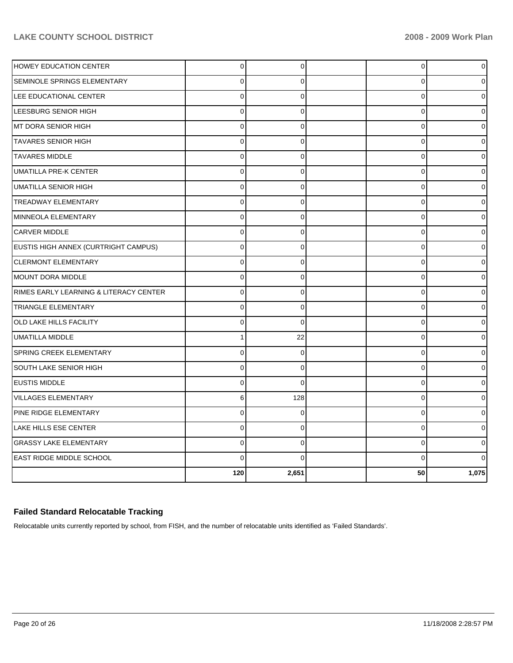| 0              | 0            | 0           | 0            |
|----------------|--------------|-------------|--------------|
| 0              | $\Omega$     | 0           | <sup>0</sup> |
| $\overline{0}$ | $\Omega$     | $\mathbf 0$ | 0            |
| $\mathbf 0$    | $\mathbf 0$  | 0           |              |
| $\mathbf 0$    | 0            | 0           | U            |
| 0              | 0            | 0           | 0            |
| $\mathbf 0$    | $\mathbf 0$  | $\mathbf 0$ |              |
| $\Omega$       | $\Omega$     | $\mathbf 0$ |              |
| $\Omega$       | 0            | $\mathbf 0$ | 0            |
| $\overline{0}$ | $\Omega$     | $\mathbf 0$ |              |
| $\Omega$       | 0            | $\mathbf 0$ |              |
| 0              | 0            | $\mathbf 0$ | 0            |
| $\mathbf 0$    | $\mathbf 0$  | $\mathbf 0$ |              |
| $\Omega$       | $\mathbf{0}$ | $\mathbf 0$ |              |
| $\mathbf 0$    | 0            | $\mathbf 0$ | 0            |
| $\mathbf 0$    | 0            | $\mathbf 0$ |              |
| $\overline{0}$ | $\Omega$     | $\mathbf 0$ |              |
| $\mathbf 0$    | $\mathbf 0$  | 0           | ∩            |
| 1              | 22           | $\mathbf 0$ |              |
| $\Omega$       | 0            | $\pmb{0}$   |              |
| $\mathbf 0$    | $\mathbf 0$  | 0           |              |
| $\Omega$       | $\Omega$     | $\mathbf 0$ |              |
| 6              | 128          | $\mathbf 0$ |              |
| $\mathbf 0$    | $\Omega$     | $\mathbf 0$ |              |
| 0              | $\mathbf 0$  | $\mathbf 0$ |              |
| $\mathbf 0$    | 0            | $\mathbf 0$ |              |
| $\Omega$       | $\Omega$     | 0           |              |
| 120            | 2,651        | 50          | 1,075        |
|                |              |             |              |

# **Failed Standard Relocatable Tracking**

Relocatable units currently reported by school, from FISH, and the number of relocatable units identified as 'Failed Standards'.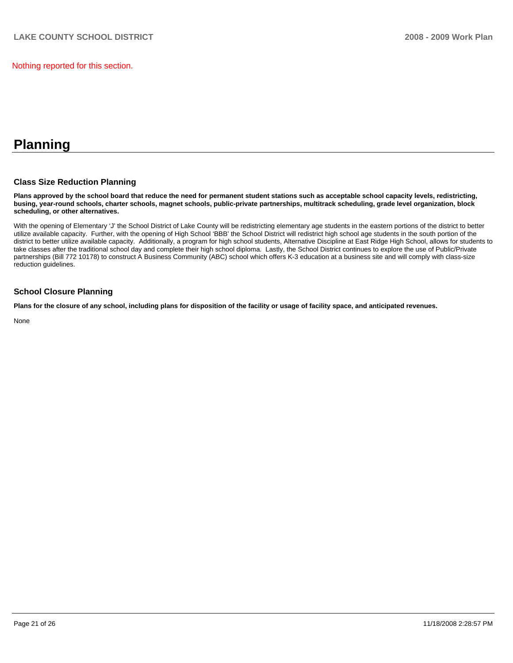Nothing reported for this section.

# **Planning**

#### **Class Size Reduction Planning**

**Plans approved by the school board that reduce the need for permanent student stations such as acceptable school capacity levels, redistricting, busing, year-round schools, charter schools, magnet schools, public-private partnerships, multitrack scheduling, grade level organization, block scheduling, or other alternatives.** 

With the opening of Elementary 'J' the School District of Lake County will be redistricting elementary age students in the eastern portions of the district to better utilize available capacity. Further, with the opening of High School 'BBB' the School District will redistrict high school age students in the south portion of the district to better utilize available capacity. Additionally, a program for high school students, Alternative Discipline at East Ridge High School, allows for students to take classes after the traditional school day and complete their high school diploma. Lastly, the School District continues to explore the use of Public/Private partnerships (Bill 772 10178) to construct A Business Community (ABC) school which offers K-3 education at a business site and will comply with class-size reduction guidelines.

#### **School Closure Planning**

**Plans for the closure of any school, including plans for disposition of the facility or usage of facility space, and anticipated revenues.** 

None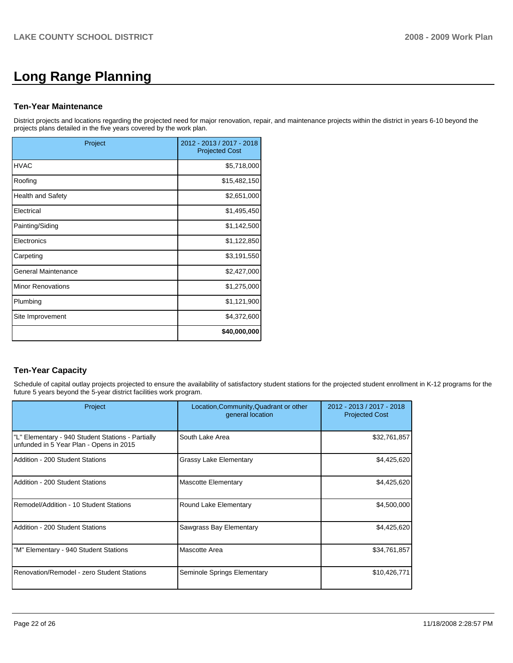# **Long Range Planning**

#### **Ten-Year Maintenance**

District projects and locations regarding the projected need for major renovation, repair, and maintenance projects within the district in years 6-10 beyond the projects plans detailed in the five years covered by the work plan.

| Project                    | 2012 - 2013 / 2017 - 2018<br><b>Projected Cost</b> |
|----------------------------|----------------------------------------------------|
| <b>HVAC</b>                | \$5,718,000                                        |
| Roofing                    | \$15,482,150                                       |
| <b>Health and Safety</b>   | \$2,651,000                                        |
| Electrical                 | \$1,495,450                                        |
| Painting/Siding            | \$1,142,500                                        |
| Electronics                | \$1,122,850                                        |
| Carpeting                  | \$3,191,550                                        |
| <b>General Maintenance</b> | \$2,427,000                                        |
| <b>Minor Renovations</b>   | \$1,275,000                                        |
| Plumbing                   | \$1,121,900                                        |
| Site Improvement           | \$4,372,600                                        |
|                            | \$40,000,000                                       |

# **Ten-Year Capacity**

Schedule of capital outlay projects projected to ensure the availability of satisfactory student stations for the projected student enrollment in K-12 programs for the future 5 years beyond the 5-year district facilities work program.

| Project                                                                                      | Location, Community, Quadrant or other<br>general location | 2012 - 2013 / 2017 - 2018<br><b>Projected Cost</b> |
|----------------------------------------------------------------------------------------------|------------------------------------------------------------|----------------------------------------------------|
| "L" Elementary - 940 Student Stations - Partially<br>unfunded in 5 Year Plan - Opens in 2015 | South Lake Area                                            | \$32,761,857                                       |
| Addition - 200 Student Stations                                                              | Grassy Lake Elementary                                     | \$4,425,620                                        |
| Addition - 200 Student Stations                                                              | <b>Mascotte Elementary</b>                                 | \$4,425,620                                        |
| IRemodel/Addition - 10 Student Stations                                                      | Round Lake Elementary                                      | \$4,500,000                                        |
| Addition - 200 Student Stations                                                              | Sawgrass Bay Elementary                                    | \$4,425,620                                        |
| "M" Elementary - 940 Student Stations                                                        | Mascotte Area                                              | \$34,761,857                                       |
| Renovation/Remodel - zero Student Stations                                                   | Seminole Springs Elementary                                | \$10,426,771                                       |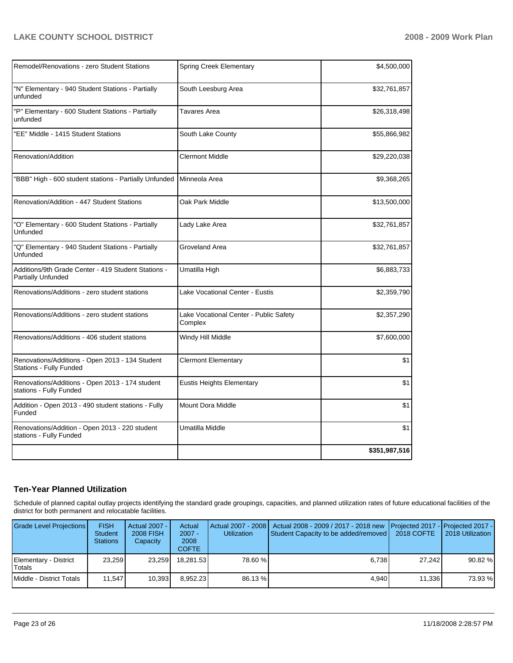| Remodel/Renovations - zero Student Stations                                | <b>Spring Creek Elementary</b>                    | \$4,500,000   |
|----------------------------------------------------------------------------|---------------------------------------------------|---------------|
| "N" Elementary - 940 Student Stations - Partially<br>unfunded              | South Leesburg Area                               | \$32,761,857  |
| "P" Elementary - 600 Student Stations - Partially<br>unfunded              | Tavares Area                                      | \$26,318,498  |
| "EE" Middle - 1415 Student Stations                                        | South Lake County                                 | \$55,866,982  |
| Renovation/Addition                                                        | Clermont Middle                                   | \$29,220,038  |
| "BBB" High - 600 student stations - Partially Unfunded                     | Minneola Area                                     | \$9,368,265   |
| Renovation/Addition - 447 Student Stations                                 | Oak Park Middle                                   | \$13,500,000  |
| "O" Elementary - 600 Student Stations - Partially<br>Unfunded              | Lady Lake Area                                    | \$32,761,857  |
| "Q" Elementary - 940 Student Stations - Partially<br>Unfunded              | Groveland Area                                    | \$32,761,857  |
| Additions/9th Grade Center - 419 Student Stations -<br>Partially Unfunded  | Umatilla High                                     | \$6,883,733   |
| Renovations/Additions - zero student stations                              | Lake Vocational Center - Eustis                   | \$2,359,790   |
| Renovations/Additions - zero student stations                              | Lake Vocational Center - Public Safety<br>Complex | \$2,357,290   |
| Renovations/Additions - 406 student stations                               | Windy Hill Middle                                 | \$7,600,000   |
| Renovations/Additions - Open 2013 - 134 Student<br>Stations - Fully Funded | <b>Clermont Elementary</b>                        | \$1           |
| Renovations/Additions - Open 2013 - 174 student<br>stations - Fully Funded | Eustis Heights Elementary                         | \$1           |
| Addition - Open 2013 - 490 student stations - Fully<br>Funded              | Mount Dora Middle                                 | \$1           |
| Renovations/Addition - Open 2013 - 220 student<br>stations - Fully Funded  | Umatilla Middle                                   | \$1           |
|                                                                            |                                                   | \$351,987,516 |

# **Ten-Year Planned Utilization**

Schedule of planned capital outlay projects identifying the standard grade groupings, capacities, and planned utilization rates of future educational facilities of the district for both permanent and relocatable facilities.

| <b>Grade Level Projections</b>  | <b>FISH</b><br><b>Student</b><br><b>Stations</b> | Actual 2007 - I<br><b>2008 FISH</b><br>Capacity | Actual<br>$2007 -$<br>2008<br><b>COFTE</b> | <b>Utilization</b> | Actual 2007 - 2008   Actual 2008 - 2009 / 2017 - 2018 new Projected 2017 - Projected 2017 -<br>Student Capacity to be added/removed | 2018 COFTE | 2018 Utilization |
|---------------------------------|--------------------------------------------------|-------------------------------------------------|--------------------------------------------|--------------------|-------------------------------------------------------------------------------------------------------------------------------------|------------|------------------|
| Elementary - District<br>Totals | 23.259                                           | 23.259                                          | 18.281.53                                  | 78.60 %            | 6.738                                                                                                                               | 27.242     | 90.82 %          |
| l Middle - District Totals      | 11.547                                           | 10.393                                          | 8.952.23                                   | 86.13 %            | 4.940                                                                                                                               | 11,336     | 73.93 %          |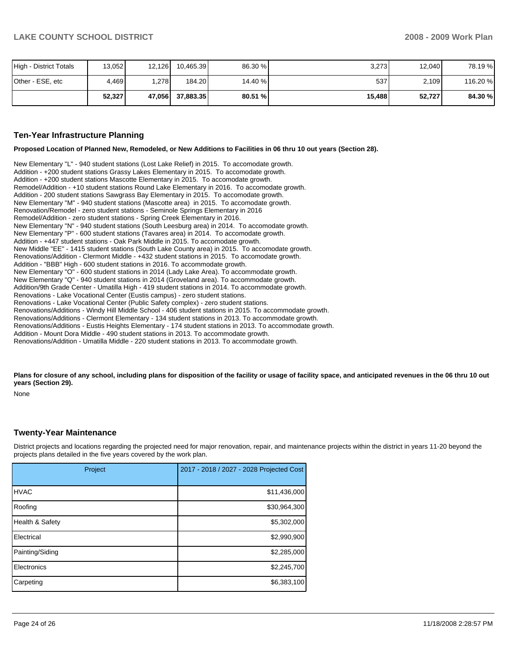| High - District Totals | 13,052 | 12,126 | 10,465.39 | 86.30 % | 3,273  | 12.040 | 78.19 %  |
|------------------------|--------|--------|-----------|---------|--------|--------|----------|
| Other - ESE, etc       | 4,469  | .278   | 184.20    | 14.40 % | 537    | 2,109  | 116.20 % |
|                        | 52,327 | 47,056 | 37.883.35 | 80.51 % | 15,488 | 52,727 | 84.30 %  |

#### **Ten-Year Infrastructure Planning**

**Proposed Location of Planned New, Remodeled, or New Additions to Facilities in 06 thru 10 out years (Section 28).** 

New Elementary "L" - 940 student stations (Lost Lake Relief) in 2015. To accomodate growth. Addition - +200 student stations Grassy Lakes Elementary in 2015. To accomodate growth. Addition - +200 student stations Mascotte Elementary in 2015. To accomodate growth. Remodel/Addition - +10 student stations Round Lake Elementary in 2016. To accomodate growth. Addition - 200 student stations Sawgrass Bay Elementary in 2015. To accomodate growth. New Elementary "M" - 940 student stations (Mascotte area) in 2015. To accomodate growth. Renovation/Remodel - zero student stations - Seminole Springs Elementary in 2016�� Remodel/Addition - zero student stations - Spring Creek Elementary in 2016. New Elementary "N" - 940 student stations (South Leesburg area) in 2014. To accomodate growth. New Elementary "P" - 600 student stations (Tavares area) in 2014. To accomodate growth. Addition - +447 student stations - Oak Park Middle in 2015. To accomodate growth. New Middle "EE" - 1415 student stations (South Lake County area) in 2015. To accomodate growth. Renovations/Addition - Clermont Middle - +432 student stations in 2015. To accomodate growth. Addition - "BBB" High - 600 student stations in 2016. To accommodate growth. New Elementary "O" - 600 student stations in 2014 (Lady Lake Area). To accommodate growth. New Elementary "Q" - 940 student stations in 2014 (Groveland area). To accommodate growth. Addition/9th Grade Center - Umatilla High - 419 student stations in 2014. To accommodate growth. Renovations - Lake Vocational Center (Eustis campus) - zero student stations. Renovations - Lake Vocational Center (Public Safety complex) - zero student stations. Renovations/Additions - Windy Hill Middle School - 406 student stations in 2015. To accommodate growth.�� Renovations/Additions - Clermont Elementary - 134 student stations in 2013. To accommodate growth.�� Renovations/Additions - Eustis Heights Elementary - 174 student stations in 2013. To accommodate growth. Addition - Mount Dora Middle - 490 student stations in 2013. To accommodate growth. Renovations/Addition - Umatilla Middle - 220 student stations in 2013. To accommodate growth.

Plans for closure of any school, including plans for disposition of the facility or usage of facility space, and anticipated revenues in the 06 thru 10 out **years (Section 29).** 

None

#### **Twenty-Year Maintenance**

District projects and locations regarding the projected need for major renovation, repair, and maintenance projects within the district in years 11-20 beyond the projects plans detailed in the five years covered by the work plan.

| Project         | 2017 - 2018 / 2027 - 2028 Projected Cost |
|-----------------|------------------------------------------|
| <b>HVAC</b>     | \$11,436,000                             |
| Roofing         | \$30,964,300                             |
| Health & Safety | \$5,302,000                              |
| Electrical      | \$2,990,900                              |
| Painting/Siding | \$2,285,000                              |
| Electronics     | \$2,245,700                              |
| Carpeting       | \$6,383,100                              |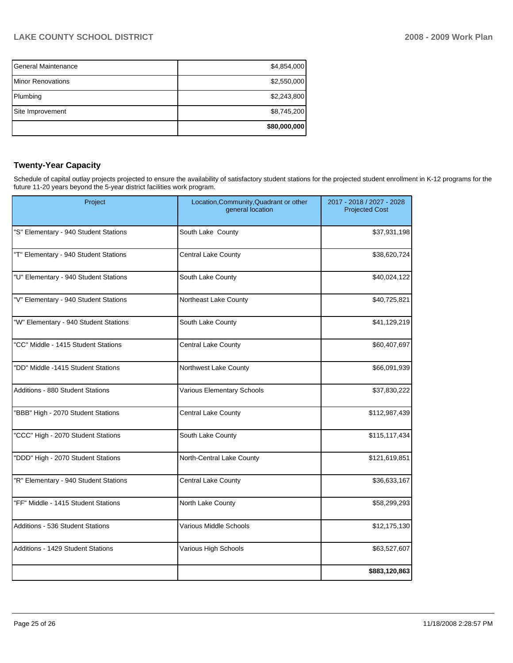| <b>General Maintenance</b> | \$4,854,000  |
|----------------------------|--------------|
| <b>IMinor Renovations</b>  | \$2,550,000  |
| Plumbing                   | \$2,243,800  |
| Site Improvement           | \$8,745,200  |
|                            | \$80,000,000 |

# **Twenty-Year Capacity**

Schedule of capital outlay projects projected to ensure the availability of satisfactory student stations for the projected student enrollment in K-12 programs for the future 11-20 years beyond the 5-year district facilities work program.

| Project                                 | Location, Community, Quadrant or other<br>general location | 2017 - 2018 / 2027 - 2028<br><b>Projected Cost</b> |
|-----------------------------------------|------------------------------------------------------------|----------------------------------------------------|
| "S" Elementary - 940 Student Stations   | South Lake County                                          | \$37,931,198                                       |
| "T" Elementary - 940 Student Stations   | <b>Central Lake County</b>                                 | \$38,620,724                                       |
| "U" Elementary - 940 Student Stations   | South Lake County                                          | \$40,024,122                                       |
| "V" Elementary - 940 Student Stations   | Northeast Lake County                                      | \$40,725,821                                       |
| "W" Elementary - 940 Student Stations   | South Lake County                                          | \$41,129,219                                       |
| "CC" Middle - 1415 Student Stations     | Central Lake County                                        | \$60,407,697                                       |
| "DD" Middle -1415 Student Stations      | Northwest Lake County                                      | \$66,091,939                                       |
| <b>Additions - 880 Student Stations</b> | Various Elementary Schools                                 | \$37,830,222                                       |
| "BBB" High - 2070 Student Stations      | <b>Central Lake County</b>                                 | \$112,987,439                                      |
| "CCC" High - 2070 Student Stations      | South Lake County                                          | \$115,117,434                                      |
| "DDD" High - 2070 Student Stations      | North-Central Lake County                                  | \$121,619,851                                      |
| "R" Elementary - 940 Student Stations   | <b>Central Lake County</b>                                 | \$36,633,167                                       |
| "FF" Middle - 1415 Student Stations     | North Lake County                                          | \$58,299,293                                       |
| Additions - 536 Student Stations        | Various Middle Schools                                     | \$12,175,130                                       |
| Additions - 1429 Student Stations       | Various High Schools                                       | \$63,527,607                                       |
|                                         |                                                            | \$883,120,863                                      |